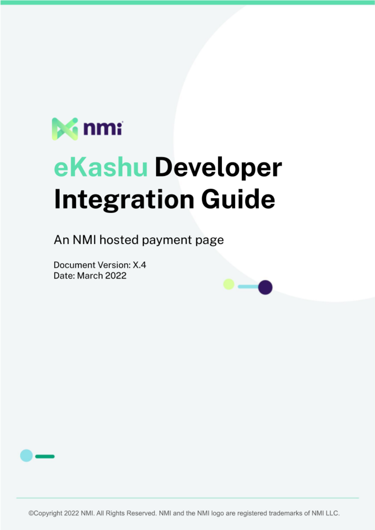

# eKashu Developer **Integration Guide**

An NMI hosted payment page

Document Version: X.4 Date: March 2022



©Copyright 2022 NMI. All Rights Reserved. NMI and the NMI logo are registered trademarks of NMI LLC.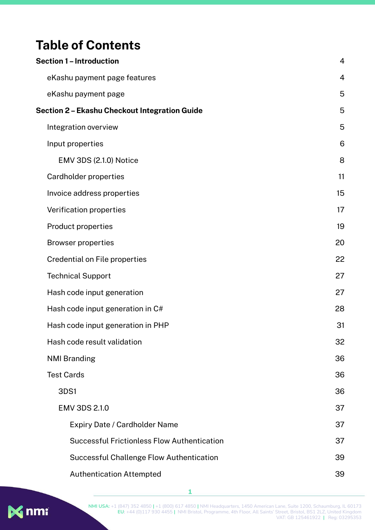# **Table of Contents**

| <b>Section 1 - Introduction</b>                    | 4              |
|----------------------------------------------------|----------------|
| eKashu payment page features                       | $\overline{4}$ |
| eKashu payment page                                | 5              |
| Section 2 - Ekashu Checkout Integration Guide      | 5              |
| Integration overview                               | 5              |
| Input properties                                   | 6              |
| EMV 3DS (2.1.0) Notice                             | 8              |
| Cardholder properties                              | 11             |
| Invoice address properties                         | 15             |
| Verification properties                            | 17             |
| <b>Product properties</b>                          | 19             |
| <b>Browser properties</b>                          | 20             |
| <b>Credential on File properties</b>               | 22             |
| <b>Technical Support</b>                           | 27             |
| Hash code input generation                         | 27             |
| Hash code input generation in C#                   | 28             |
| Hash code input generation in PHP                  | 31             |
| Hash code result validation                        | 32             |
| <b>NMI Branding</b>                                | 36             |
| <b>Test Cards</b>                                  | 36             |
| 3DS1                                               | 36             |
| <b>EMV 3DS 2.1.0</b>                               | 37             |
| <b>Expiry Date / Cardholder Name</b>               | 37             |
| <b>Successful Frictionless Flow Authentication</b> | 37             |
| <b>Successful Challenge Flow Authentication</b>    | 39             |
| <b>Authentication Attempted</b>                    | 39             |

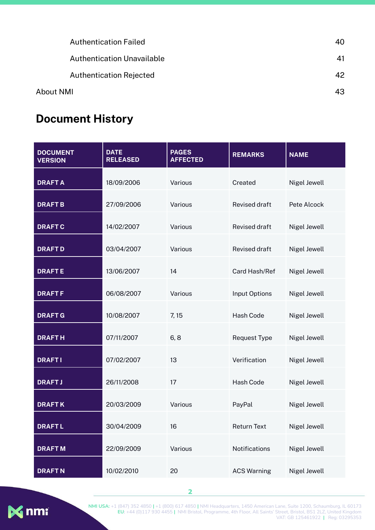|           | <b>Authentication Failed</b>      | 40 |
|-----------|-----------------------------------|----|
|           | <b>Authentication Unavailable</b> | 41 |
|           | <b>Authentication Rejected</b>    | 42 |
| About NMI |                                   | 43 |
|           |                                   |    |

# **Document History**

| <b>DOCUMENT</b><br><b>VERSION</b> | <b>DATE</b><br><b>RELEASED</b> | <b>PAGES</b><br><b>AFFECTED</b> | <b>REMARKS</b>       | <b>NAME</b>  |
|-----------------------------------|--------------------------------|---------------------------------|----------------------|--------------|
| <b>DRAFTA</b>                     | 18/09/2006                     | Various                         | Created              | Nigel Jewell |
| <b>DRAFTB</b>                     | 27/09/2006                     | Various                         | <b>Revised draft</b> | Pete Alcock  |
| <b>DRAFTC</b>                     | 14/02/2007                     | Various                         | <b>Revised draft</b> | Nigel Jewell |
| <b>DRAFTD</b>                     | 03/04/2007                     | Various                         | <b>Revised draft</b> | Nigel Jewell |
| <b>DRAFTE</b>                     | 13/06/2007                     | 14                              | Card Hash/Ref        | Nigel Jewell |
| <b>DRAFTF</b>                     | 06/08/2007                     | Various                         | <b>Input Options</b> | Nigel Jewell |
| <b>DRAFT G</b>                    | 10/08/2007                     | 7,15                            | <b>Hash Code</b>     | Nigel Jewell |
| <b>DRAFTH</b>                     | 07/11/2007                     | 6, 8                            | <b>Request Type</b>  | Nigel Jewell |
| <b>DRAFTI</b>                     | 07/02/2007                     | 13                              | Verification         | Nigel Jewell |
| <b>DRAFTJ</b>                     | 26/11/2008                     | 17                              | <b>Hash Code</b>     | Nigel Jewell |
| <b>DRAFTK</b>                     | 20/03/2009                     | Various                         | PayPal               | Nigel Jewell |
| <b>DRAFTL</b>                     | 30/04/2009                     | 16                              | <b>Return Text</b>   | Nigel Jewell |
| <b>DRAFTM</b>                     | 22/09/2009                     | Various                         | Notifications        | Nigel Jewell |
| <b>DRAFTN</b>                     | 10/02/2010                     | 20                              | <b>ACS Warning</b>   | Nigel Jewell |

**2**



**NMI USA:** +1 (847) 352 4850 **|** +1 (800) 617 4850 **|** NMI Headquarters, 1450 American Lane, Suite 1200, Schaumburg, IL 60173 **EU:** +44 (0)117 930 4455 **|** NMI Bristol, Programme, 4th Floor, All Saints' Street, Bristol, BS1 2LZ, United Kingdom VAT: GB 125461922 **|** Reg: 03295353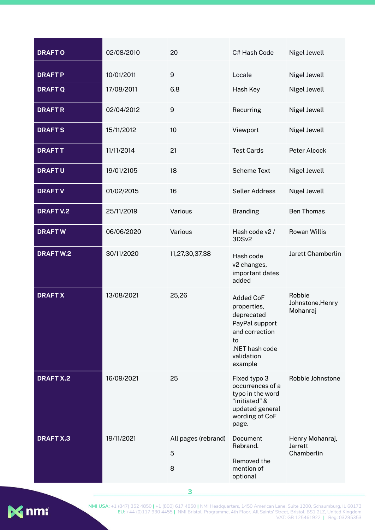| <b>DRAFTO</b>    | 02/08/2010 | 20                            | C# Hash Code                                                                                                                       | Nigel Jewell                             |
|------------------|------------|-------------------------------|------------------------------------------------------------------------------------------------------------------------------------|------------------------------------------|
| <b>DRAFTP</b>    | 10/01/2011 | $9\,$                         | Locale                                                                                                                             | Nigel Jewell                             |
| <b>DRAFTQ</b>    | 17/08/2011 | 6.8                           | Hash Key                                                                                                                           | Nigel Jewell                             |
| <b>DRAFTR</b>    | 02/04/2012 | $\overline{9}$                | Recurring                                                                                                                          | Nigel Jewell                             |
| <b>DRAFTS</b>    | 15/11/2012 | 10                            | Viewport                                                                                                                           | Nigel Jewell                             |
| <b>DRAFTT</b>    | 11/11/2014 | 21                            | <b>Test Cards</b>                                                                                                                  | Peter Alcock                             |
| <b>DRAFTU</b>    | 19/01/2105 | 18                            | <b>Scheme Text</b>                                                                                                                 | Nigel Jewell                             |
| <b>DRAFTV</b>    | 01/02/2015 | 16                            | <b>Seller Address</b>                                                                                                              | Nigel Jewell                             |
| <b>DRAFT V.2</b> | 25/11/2019 | Various                       | <b>Branding</b>                                                                                                                    | <b>Ben Thomas</b>                        |
| <b>DRAFTW</b>    | 06/06/2020 | Various                       | Hash code v2 /<br>3DSv2                                                                                                            | <b>Rowan Willis</b>                      |
| <b>DRAFTW.2</b>  | 30/11/2020 | 11,27,30,37,38                | Hash code<br>v2 changes,<br>important dates<br>added                                                                               | Jarett Chamberlin                        |
| <b>DRAFT X</b>   | 13/08/2021 | 25,26                         | <b>Added CoF</b><br>properties,<br>deprecated<br>PayPal support<br>and correction<br>to<br>.NET hash code<br>validation<br>example | Robbie<br>Johnstone, Henry<br>Mohanraj   |
| <b>DRAFT X.2</b> | 16/09/2021 | 25                            | Fixed typo 3<br>occurrences of a<br>typo in the word<br>"initiated" &<br>updated general<br>wording of CoF<br>page.                | Robbie Johnstone                         |
| <b>DRAFT X.3</b> | 19/11/2021 | All pages (rebrand)<br>5<br>8 | Document<br>Rebrand.<br>Removed the<br>mention of<br>optional                                                                      | Henry Mohanraj,<br>Jarrett<br>Chamberlin |

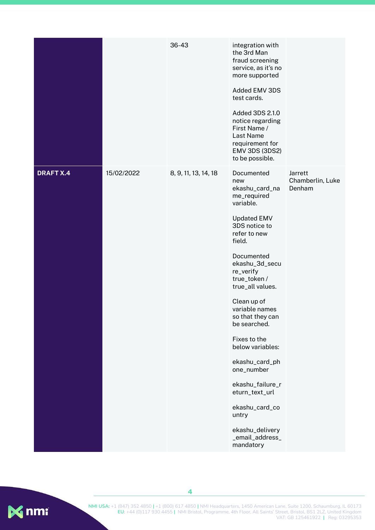|                  |            | 36-43                | integration with<br>the 3rd Man<br>fraud screening<br>service, as it's no<br>more supported<br>Added EMV 3DS<br>test cards.<br>Added 3DS 2.1.0<br>notice regarding<br>First Name /<br>Last Name<br>requirement for<br><b>EMV 3DS (3DS2)</b><br>to be possible.                                                                                                                                                                                                                 |                                       |
|------------------|------------|----------------------|--------------------------------------------------------------------------------------------------------------------------------------------------------------------------------------------------------------------------------------------------------------------------------------------------------------------------------------------------------------------------------------------------------------------------------------------------------------------------------|---------------------------------------|
| <b>DRAFT X.4</b> | 15/02/2022 | 8, 9, 11, 13, 14, 18 | Documented<br>new<br>ekashu_card_na<br>me_required<br>variable.<br><b>Updated EMV</b><br>3DS notice to<br>refer to new<br>field.<br>Documented<br>ekashu_3d_secu<br>re_verify<br>true_token /<br>true_all values.<br>Clean up of<br>variable names<br>so that they can<br>be searched.<br>Fixes to the<br>below variables:<br>ekashu_card_ph<br>one_number<br>ekashu_failure_r<br>eturn_text_url<br>ekashu_card_co<br>untry<br>ekashu_delivery<br>_email_address_<br>mandatory | Jarrett<br>Chamberlin, Luke<br>Denham |

<span id="page-4-0"></span>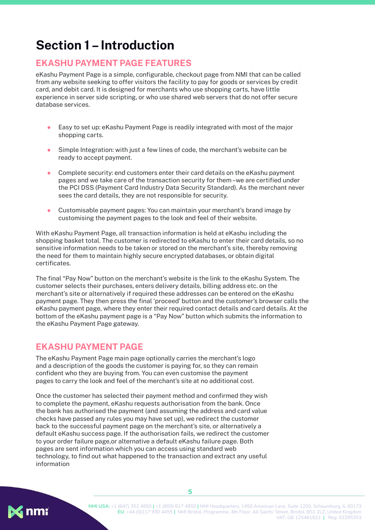# **Section 1 –Introduction**

#### <span id="page-5-0"></span>**EKASHU PAYMENT PAGE FEATURES**

eKashu Payment Page is a simple, configurable, checkout page from NMI that can be called from any website seeking to offer visitors the facility to pay for goods or services by credit card, and debit card. It is designed for merchants who use shopping carts, have little experience in server side scripting, or who use shared web servers that do not offer secure database services.

- Easy to set up: eKashu Payment Page is readily integrated with most of the major shopping carts.
- Simple Integration: with just a few lines of code, the merchant's website can be ready to accept payment.
- Complete security: end customers enter their card details on the eKashu payment pages and we take care of the transaction security for them–we are certified under the PCI DSS (Payment Card Industry Data Security Standard). As the merchant never sees the card details, they are not responsible for security.
- Customisable payment pages: You can maintain your merchant's brand image by customising the payment pages to the look and feel of their website.

With eKashu Payment Page, all transaction information is held at eKashu including the shopping basket total. The customer is redirected to eKashu to enter their card details, so no sensitive information needs to be taken or stored on the merchant's site, thereby removing the need for them to maintain highly secure encrypted databases, or obtain digital certificates.

The final "Pay Now" button on the merchant's website is the link to the eKashu System. The customer selects their purchases, enters delivery details, billing address etc. on the merchant's site or alternatively if required these addresses can be entered on the eKashu payment page. They then press the final 'proceed' button and the customer's browser calls the eKashu payment page, where they enter their required contact details and card details. At the bottom of the eKashu payment page is a "Pay Now" button which submits the information to the eKashu Payment Page gateway.

#### <span id="page-5-1"></span>**EKASHU PAYMENT PAGE**

The eKashu Payment Page main page optionally carries the merchant's logo and a description of the goods the customer is paying for, so they can remain confident who they are buying from. You can even customise the payment pages to carry the look and feel of the merchant's site at no additional cost.

Once the customer has selected their payment method and confirmed they wish to complete the payment, eKashu requests authorisation from the bank. Once the bank has authorised the payment (and assuming the address and card value checks have passed any rules you may have set up), we redirect the customer back to the successful payment page on the merchant's site, or alternatively a default eKashu success page. If the authorisation fails, we redirect the customer to your order failure page,or alternative a default eKashu failure page. Both pages are sent information which you can access using standard web technology, to find out what happened to the transaction and extract any useful information

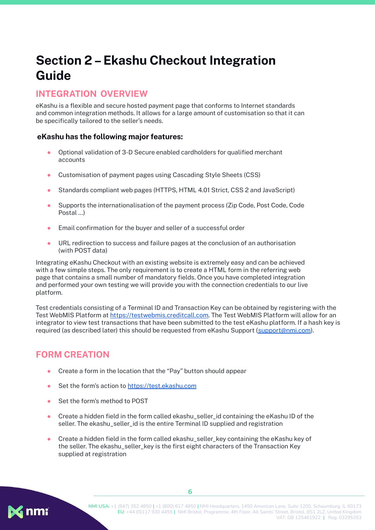# <span id="page-6-0"></span>**Section 2–Ekashu Checkout Integration Guide**

#### <span id="page-6-1"></span>**INTEGRATION OVERVIEW**

eKashu is a flexible and secure hosted payment page that conforms to Internet standards and common integration methods. It allows for a large amount of customisation so that it can be specifically tailored to the seller's needs.

#### **eKashu has the following major features:**

- Optional validation of 3-D Secure enabled cardholders for qualified merchant accounts
- Customisation of payment pages using Cascading Style Sheets (CSS)
- Standards compliant web pages (HTTPS, HTML 4.01 Strict, CSS 2 and JavaScript)
- Supports the internationalisation of the payment process (Zip Code, Post Code, Code Postal ...)
- Email confirmation for the buyer and seller of a successful order
- URL redirection to success and failure pages at the conclusion of an authorisation (with POST data)

Integrating eKashu Checkout with an existing website is extremely easy and can be achieved with a few simple steps. The only requirement is to create a HTML form in the referring web page that contains a small number of mandatory fields. Once you have completed integration and performed your own testing we will provide you with the connection credentials to our live platform.

Test credentials consisting of a Terminal ID and Transaction Key can be obtained by registering with the Test WebMIS Platform at <https://testwebmis.creditcall.com>. The Test WebMIS Platform will allow for an integrator to view test transactions that have been submitted to the test eKashu platform. If a hash key is required (as described later) this should be requested from eKashu Support [\(support@nmi.com\)](mailto:support@nmi.com).

#### **FORM CREATION**

- Create a form in the location that the "Pay" button should appear
- Set the form's action to <https://test.ekashu.com>
- Set the form's method to POST
- Create a hidden field in the form called ekashu\_seller\_id containing the eKashu ID of the seller. The ekashu\_seller\_id is the entire Terminal ID supplied and registration
- $\bullet$  Create a hidden field in the form called ekashu seller key containing the eKashu key of the seller. The ekashu seller key is the first eight characters of the Transaction Key supplied at registration

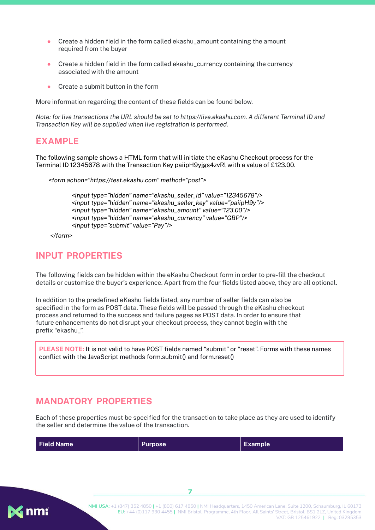- Create a hidden field in the form called ekashu\_amount containing the amount required from the buyer
- Create a hidden field in the form called ekashu\_currency containing the currency associated with the amount
- Create a submit button in the form

More information regarding the content of these fields can be found below.

*Note: for live transactions the URL should be set to https://live.ekashu.com. A different Terminal ID and Transaction Key will be supplied when live registration is performed.*

#### **EXAMPLE**

The following sample shows a HTML form that will initiate the eKashu Checkout process for the Terminal ID 12345678 with the Transaction Key paiipH9yjgs4zvRl with a value of £123.00.

```
<form action="https://test.ekashu.com" method="post">
```

```
<input type="hidden" name="ekashu_seller_id" value="12345678"/>
<input type="hidden" name="ekashu_seller_key" value="paiipH9y"/>
<input type="hidden" name="ekashu_amount" value="123.00"/>
<input type="hidden" name="ekashu_currency" value="GBP"/>
<input type="submit" value="Pay"/>
```
*</form>*

#### **INPUT PROPERTIES**

The following fields can be hidden within the eKashu Checkout form in order to pre-fill the checkout details or customise the buyer's experience. Apart from the four fields listed above, they are all optional.

<span id="page-7-0"></span>In addition to the predefined eKashu fields listed, any number of seller fields can also be specified in the form as POST data. These fields will be passed through the eKashu checkout process and returned to the success and failure pages as POST data. In order to ensure that future enhancements do not disrupt your checkout process, they cannot begin with the prefix "ekashu\_".

**PLEASE NOTE:** It is not valid to have POST fields named "submit" or "reset". Forms with these names conflict with the JavaScript methods form.submit() and form.reset()

#### **MANDATORY PROPERTIES**

Each of these properties must be specified for the transaction to take place as they are used to identify the seller and determine the value of the transaction.

| <b>Field Name</b> | <b>Purpose</b> | Example |
|-------------------|----------------|---------|
|                   |                |         |

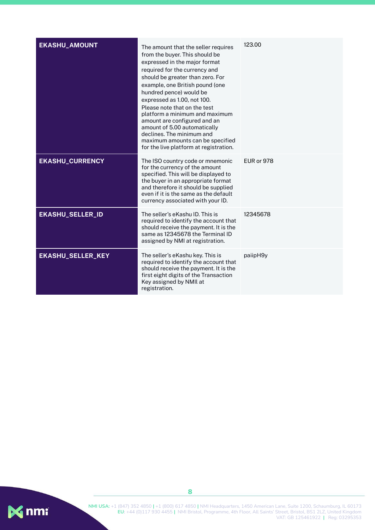| <b>EKASHU_AMOUNT</b>     | The amount that the seller requires<br>from the buyer. This should be<br>expressed in the major format<br>required for the currency and<br>should be greater than zero. For<br>example, one British pound (one<br>hundred pence) would be<br>expressed as 1.00, not 100.<br>Please note that on the test<br>platform a minimum and maximum<br>amount are configured and an<br>amount of 5.00 automatically<br>declines. The minimum and<br>maximum amounts can be specified<br>for the live platform at registration. | 123.00            |
|--------------------------|-----------------------------------------------------------------------------------------------------------------------------------------------------------------------------------------------------------------------------------------------------------------------------------------------------------------------------------------------------------------------------------------------------------------------------------------------------------------------------------------------------------------------|-------------------|
| <b>EKASHU_CURRENCY</b>   | The ISO country code or mnemonic<br>for the currency of the amount<br>specified. This will be displayed to<br>the buyer in an appropriate format<br>and therefore it should be supplied<br>even if it is the same as the default<br>currency associated with your ID.                                                                                                                                                                                                                                                 | <b>EUR or 978</b> |
| <b>EKASHU_SELLER_ID</b>  | The seller's eKashu ID. This is<br>required to identify the account that<br>should receive the payment. It is the<br>same as 12345678 the Terminal ID<br>assigned by NMI at registration.                                                                                                                                                                                                                                                                                                                             | 12345678          |
| <b>EKASHU_SELLER_KEY</b> | The seller's eKashu key. This is<br>required to identify the account that<br>should receive the payment. It is the<br>first eight digits of the Transaction<br>Key assigned by NMII at<br>registration.                                                                                                                                                                                                                                                                                                               | paiipH9y          |

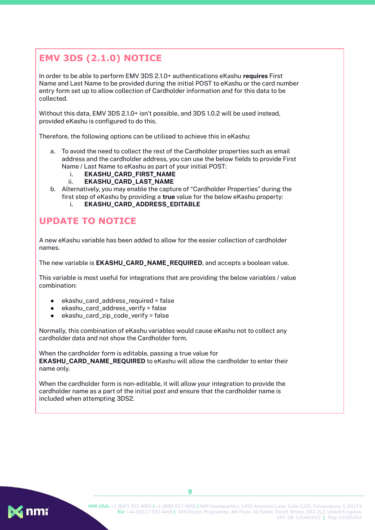# <span id="page-9-0"></span>**EMV 3DS (2.1.0) NOTICE**

In order to be able to perform EMV 3DS 2.1.0+ authentications eKashu **requires** First Name and Last Name to be provided during the initial POST to eKashu or the card number entry form set up to allow collection of Cardholder information and for this data to be collected.

Without this data, EMV 3DS 2.1.0+ isn't possible, and 3DS 1.0.2 will be used instead, provided eKashu is configured to do this.

Therefore, the following options can be utilised to achieve this in eKashu:

- a. To avoid the need to collect the rest of the Cardholder properties such as email address and the cardholder address, you can use the below fields to provide First Name / Last Name to eKashu as part of your initial POST:
	- i. **EKASHU\_CARD\_FIRST\_NAME**
	- ii. **EKASHU\_CARD\_LAST\_NAME**
- b. Alternatively, you may enable the capture of "Cardholder Properties" during the first step of eKashu by providing a **true** value for the below eKashu property:
	- i. **EKASHU\_CARD\_ADDRESS\_EDITABLE**

## **UPDATE TO NOTICE**

A new eKashu variable has been added to allow for the easier collection of cardholder names.

The new variable is **EKASHU\_CARD\_NAME\_REQUIRED**, and accepts a boolean value.

This variable is most useful for integrations that are providing the below variables / value combination:

- ekashu\_card\_address\_required = false
- ekashu\_card\_address\_verify = false
- $ekashu\_card\_zip\_code\_verify = false$

Normally, this combination of eKashu variables would cause eKashu not to collect any cardholder data and not show the Cardholder form.

When the cardholder form is editable, passing a true value for **EKASHU\_CARD\_NAME\_REQUIRED** to eKashu will allow the cardholder to enter their name only.

When the cardholder form is non-editable, it will allow your integration to provide the cardholder name as a part of the initial post and ensure that the cardholder name is included when attempting 3DS2.

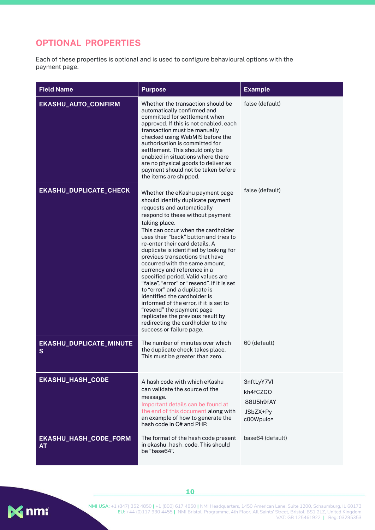#### **OPTIONAL PROPERTIES**

Each of these properties is optional and is used to configure behavioural options with the payment page.

| <b>Field Name</b>                  | <b>Purpose</b>                                                                                                                                                                                                                                                                                                                                                                                                                                                                                                                                                                                                                                                                                                                                           | <b>Example</b>                                               |
|------------------------------------|----------------------------------------------------------------------------------------------------------------------------------------------------------------------------------------------------------------------------------------------------------------------------------------------------------------------------------------------------------------------------------------------------------------------------------------------------------------------------------------------------------------------------------------------------------------------------------------------------------------------------------------------------------------------------------------------------------------------------------------------------------|--------------------------------------------------------------|
| EKASHU_AUTO_CONFIRM                | Whether the transaction should be<br>automatically confirmed and<br>committed for settlement when<br>approved. If this is not enabled, each<br>transaction must be manually<br>checked using WebMIS before the<br>authorisation is committed for<br>settlement. This should only be<br>enabled in situations where there<br>are no physical goods to deliver as<br>payment should not be taken before<br>the items are shipped.                                                                                                                                                                                                                                                                                                                          | false (default)                                              |
| EKASHU_DUPLICATE_CHECK             | Whether the eKashu payment page<br>should identify duplicate payment<br>requests and automatically<br>respond to these without payment<br>taking place.<br>This can occur when the cardholder<br>uses their "back" button and tries to<br>re-enter their card details. A<br>duplicate is identified by looking for<br>previous transactions that have<br>occurred with the same amount.<br>currency and reference in a<br>specified period. Valid values are<br>"false", "error" or "resend". If it is set<br>to "error" and a duplicate is<br>identified the cardholder is<br>informed of the error, if it is set to<br>"resend" the payment page<br>replicates the previous result by<br>redirecting the cardholder to the<br>success or failure page. | false (default)                                              |
| EKASHU_DUPLICATE_MINUTE<br>S       | The number of minutes over which<br>the duplicate check takes place.<br>This must be greater than zero.                                                                                                                                                                                                                                                                                                                                                                                                                                                                                                                                                                                                                                                  | 60 (default)                                                 |
| <b>EKASHU_HASH_CODE</b>            | A hash code with which eKashu<br>can validate the source of the<br>message.<br>Important details can be found at<br>the end of this document along with<br>an example of how to generate the<br>hash code in C# and PHP.                                                                                                                                                                                                                                                                                                                                                                                                                                                                                                                                 | 3nftLyY7Vl<br>kh4fCZGO<br>88U5h9fAY<br>JSbZX+Py<br>c00Wpulo= |
| EKASHU_HASH_CODE_FORM<br><b>AT</b> | The format of the hash code present<br>in ekashu_hash_code. This should<br>be "base64".                                                                                                                                                                                                                                                                                                                                                                                                                                                                                                                                                                                                                                                                  | base64 (default)                                             |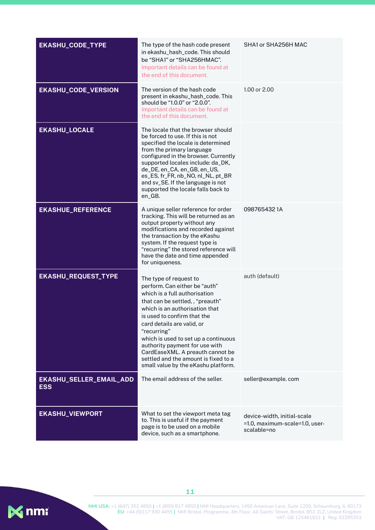| <b>EKASHU_CODE_TYPE</b>               | The type of the hash code present<br>in ekashu_hash_code. This should<br>be "SHA1" or "SHA256HMAC".<br>Important details can be found at<br>the end of this document.                                                                                                                                                                                                                                                                   | SHA1 or SHA256H MAC                                                          |
|---------------------------------------|-----------------------------------------------------------------------------------------------------------------------------------------------------------------------------------------------------------------------------------------------------------------------------------------------------------------------------------------------------------------------------------------------------------------------------------------|------------------------------------------------------------------------------|
| <b>EKASHU_CODE_VERSION</b>            | The version of the hash code<br>present in ekashu_hash_code. This<br>should be "1.0.0" or "2.0.0".<br>Important details can be found at<br>the end of this document.                                                                                                                                                                                                                                                                    | 1.00 or 2.00                                                                 |
| <b>EKASHU_LOCALE</b>                  | The locale that the browser should<br>be forced to use. If this is not<br>specified the locale is determined<br>from the primary language<br>configured in the browser. Currently<br>supported locales include: da_DK,<br>de_DE, en_CA, en_GB, en_US,<br>es_ES, fr_FR, nb_NO, nl_NL, pt_BR<br>and sv_SE. If the language is not<br>supported the locale falls back to<br>en_GB.                                                         |                                                                              |
| <b>EKASHUE_REFERENCE</b>              | A unique seller reference for order<br>tracking. This will be returned as an<br>output property without any<br>modifications and recorded against<br>the transaction by the eKashu<br>system. If the request type is<br>"recurring" the stored reference will<br>have the date and time appended<br>for uniqueness.                                                                                                                     | 0987654321A                                                                  |
| <b>EKASHU_REQUEST_TYPE</b>            | The type of request to<br>perform. Can either be "auth"<br>which is a full authorisation<br>that can be settled, , "preauth"<br>which is an authorisation that<br>is used to confirm that the<br>card details are valid, or<br>"recurring"<br>which is used to set up a continuous<br>authority payment for use with<br>CardEaseXML. A preauth cannot be<br>settled and the amount is fixed to a<br>small value by the eKashu platform. | auth (default)                                                               |
| EKASHU_SELLER_EMAIL_ADD<br><b>ESS</b> | The email address of the seller.                                                                                                                                                                                                                                                                                                                                                                                                        | seller@example.com                                                           |
| <b>EKASHU_VIEWPORT</b>                | What to set the viewport meta tag<br>to. This is useful if the payment<br>page is to be used on a mobile<br>device, such as a smartphone.                                                                                                                                                                                                                                                                                               | device-width, initial-scale<br>=1.0, maximum-scale=1.0, user-<br>scalable=no |

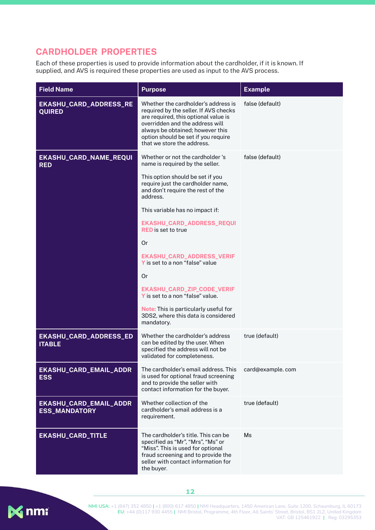#### <span id="page-12-0"></span>**CARDHOLDER PROPERTIES**

Each of these properties is used to provide information about the cardholder, if it is known. If supplied, and AVS is required these properties are used as input to the AVS process.

| <b>Field Name</b>                              | <b>Purpose</b>                                                                                                                                                                                                                                                                                                                                                                                                                                                                                  | <b>Example</b>   |
|------------------------------------------------|-------------------------------------------------------------------------------------------------------------------------------------------------------------------------------------------------------------------------------------------------------------------------------------------------------------------------------------------------------------------------------------------------------------------------------------------------------------------------------------------------|------------------|
| EKASHU_CARD_ADDRESS_RE<br><b>QUIRED</b>        | Whether the cardholder's address is<br>required by the seller. If AVS checks<br>are required, this optional value is<br>overridden and the address will<br>always be obtained; however this<br>option should be set if you require<br>that we store the address.                                                                                                                                                                                                                                | false (default)  |
| EKASHU_CARD_NAME_REQUI<br><b>RED</b>           | Whether or not the cardholder 's<br>name is required by the seller.<br>This option should be set if you<br>require just the cardholder name,<br>and don't require the rest of the<br>address.<br>This variable has no impact if:<br>EKASHU_CARD_ADDRESS_REQUI<br><b>RED</b> is set to true<br>Or<br>EKASHU_CARD_ADDRESS_VERIF<br>Y is set to a non "false" value<br><b>Or</b><br>EKASHU_CARD_ZIP_CODE_VERIF<br>Y is set to a non "false" value.<br><b>Note:</b> This is particularly useful for | false (default)  |
|                                                | 3DS2, where this data is considered<br>mandatory.                                                                                                                                                                                                                                                                                                                                                                                                                                               |                  |
| EKASHU_CARD_ADDRESS_ED<br><b>ITABLE</b>        | Whether the cardholder's address<br>can be edited by the user. When<br>specified the address will not be<br>validated for completeness.                                                                                                                                                                                                                                                                                                                                                         | true (default)   |
| EKASHU_CARD_EMAIL_ADDR<br><b>ESS</b>           | The cardholder's email address. This<br>is used for optional fraud screening<br>and to provide the seller with<br>contact information for the buyer.                                                                                                                                                                                                                                                                                                                                            | card@example.com |
| EKASHU_CARD_EMAIL_ADDR<br><b>ESS_MANDATORY</b> | Whether collection of the<br>cardholder's email address is a<br>requirement.                                                                                                                                                                                                                                                                                                                                                                                                                    | true (default)   |
| <b>EKASHU_CARD_TITLE</b>                       | The cardholder's title. This can be<br>specified as "Mr", "Mrs", "Ms" or<br>"Miss". This is used for optional<br>fraud screening and to provide the<br>seller with contact information for<br>the buyer.                                                                                                                                                                                                                                                                                        | Ms               |



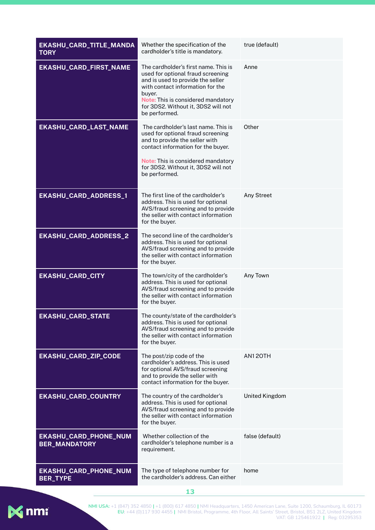| EKASHU_CARD_TITLE_MANDA<br><b>TORY</b>        | Whether the specification of the<br>cardholder's title is mandatory.                                                                                                                                                                                       | true (default)        |
|-----------------------------------------------|------------------------------------------------------------------------------------------------------------------------------------------------------------------------------------------------------------------------------------------------------------|-----------------------|
| EKASHU_CARD_FIRST_NAME                        | The cardholder's first name. This is<br>used for optional fraud screening<br>and is used to provide the seller<br>with contact information for the<br>buyer.<br>Note: This is considered mandatory<br>for 3DS2. Without it, 3DS2 will not<br>be performed. | Anne                  |
| EKASHU_CARD_LAST_NAME                         | The cardholder's last name. This is<br>used for optional fraud screening<br>and to provide the seller with<br>contact information for the buyer.<br>Note: This is considered mandatory<br>for 3DS2. Without it, 3DS2 will not<br>be performed.             | Other                 |
| EKASHU_CARD_ADDRESS_1                         | The first line of the cardholder's<br>address. This is used for optional<br>AVS/fraud screening and to provide<br>the seller with contact information<br>for the buyer.                                                                                    | Any Street            |
| EKASHU_CARD_ADDRESS_2                         | The second line of the cardholder's<br>address. This is used for optional<br>AVS/fraud screening and to provide<br>the seller with contact information<br>for the buyer.                                                                                   |                       |
| <b>EKASHU_CARD_CITY</b>                       | The town/city of the cardholder's<br>address. This is used for optional<br>AVS/fraud screening and to provide<br>the seller with contact information<br>for the buyer.                                                                                     | Any Town              |
| <b>EKASHU_CARD_STATE</b>                      | The county/state of the cardholder's<br>address. This is used for optional<br>AVS/fraud screening and to provide<br>the seller with contact information<br>for the buyer.                                                                                  |                       |
| EKASHU_CARD_ZIP_CODE                          | The post/zip code of the<br>cardholder's address. This is used<br>for optional AVS/fraud screening<br>and to provide the seller with<br>contact information for the buyer.                                                                                 | AN120TH               |
| EKASHU_CARD_COUNTRY                           | The country of the cardholder's<br>address. This is used for optional<br>AVS/fraud screening and to provide<br>the seller with contact information<br>for the buyer.                                                                                       | <b>United Kingdom</b> |
| EKASHU_CARD_PHONE_NUM<br><b>BER_MANDATORY</b> | Whether collection of the<br>cardholder's telephone number is a<br>requirement.                                                                                                                                                                            | false (default)       |
| EKASHU_CARD_PHONE_NUM<br><b>BER_TYPE</b>      | The type of telephone number for<br>the cardholder's address. Can either                                                                                                                                                                                   | home                  |

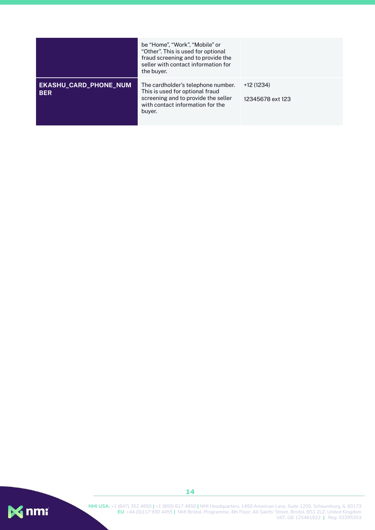|                                            | be "Home", "Work", "Mobile" or<br>"Other". This is used for optional<br>fraud screening and to provide the<br>seller with contact information for<br>the buyer. |                                |
|--------------------------------------------|-----------------------------------------------------------------------------------------------------------------------------------------------------------------|--------------------------------|
| <b>EKASHU_CARD_PHONE_NUM</b><br><b>BER</b> | The cardholder's telephone number.<br>This is used for optional fraud<br>screening and to provide the seller<br>with contact information for the<br>buyer.      | +12 (1234)<br>12345678 ext 123 |



**NMI USA:** +1 (847) 352 4850 **|** +1 (800) 617 4850 **|** NMI Headquarters, 1450 American Lane, Suite 1200, Schaumburg, IL 60173 **EU:** +44 (0)117 930 4455 **|** NMI Bristol, Programme, 4th Floor, All Saints' Street, Bristol, BS1 2LZ, United Kingdom VAT: GB 125461922 **|** Reg: 03295353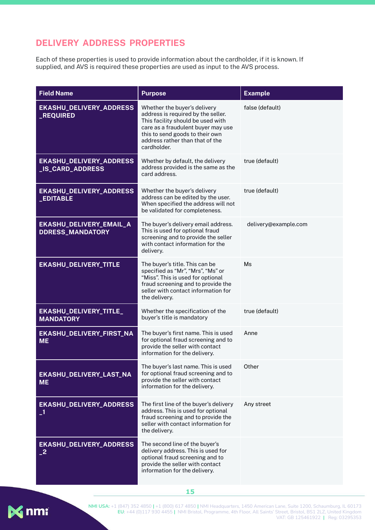#### **DELIVERY ADDRESS PROPERTIES**

Each of these properties is used to provide information about the cardholder, if it is known. If supplied, and AVS is required these properties are used as input to the AVS process.

| <b>Field Name</b>                                  | <b>Purpose</b>                                                                                                                                                                                                                     | <b>Example</b>       |
|----------------------------------------------------|------------------------------------------------------------------------------------------------------------------------------------------------------------------------------------------------------------------------------------|----------------------|
| <b>EKASHU_DELIVERY_ADDRESS</b><br><b>_REQUIRED</b> | Whether the buyer's delivery<br>address is required by the seller.<br>This facility should be used with<br>care as a fraudulent buyer may use<br>this to send goods to their own<br>address rather than that of the<br>cardholder. | false (default)      |
| <b>EKASHU_DELIVERY_ADDRESS</b><br>_IS_CARD_ADDRESS | Whether by default, the delivery<br>address provided is the same as the<br>card address.                                                                                                                                           | true (default)       |
| <b>EKASHU_DELIVERY_ADDRESS</b><br><b>_EDITABLE</b> | Whether the buyer's delivery<br>address can be edited by the user.<br>When specified the address will not<br>be validated for completeness.                                                                                        | true (default)       |
| EKASHU_DELIVERY_EMAIL_A<br><b>DDRESS_MANDATORY</b> | The buyer's delivery email address.<br>This is used for optional fraud<br>screening and to provide the seller<br>with contact information for the<br>delivery.                                                                     | delivery@example.com |
| <b>EKASHU_DELIVERY_TITLE</b>                       | The buyer's title. This can be<br>specified as "Mr", "Mrs", "Ms" or<br>"Miss". This is used for optional<br>fraud screening and to provide the<br>seller with contact information for<br>the delivery.                             | Ms                   |
| EKASHU_DELIVERY_TITLE_<br><b>MANDATORY</b>         | Whether the specification of the<br>buyer's title is mandatory                                                                                                                                                                     | true (default)       |
| EKASHU_DELIVERY_FIRST_NA<br><b>ME</b>              | The buyer's first name. This is used<br>for optional fraud screening and to<br>provide the seller with contact<br>information for the delivery.                                                                                    | Anne                 |
| EKASHU_DELIVERY_LAST_NA<br><b>ME</b>               | The buyer's last name. This is used<br>for optional fraud screening and to<br>provide the seller with contact<br>information for the delivery.                                                                                     | Other                |
| <b>EKASHU_DELIVERY_ADDRESS</b><br>$\mathbf{I}$     | The first line of the buyer's delivery<br>address. This is used for optional<br>fraud screening and to provide the<br>seller with contact information for<br>the delivery.                                                         | Any street           |
| EKASHU_DELIVERY_ADDRESS<br>$\mathbf{2}$            | The second line of the buyer's<br>delivery address. This is used for<br>optional fraud screening and to<br>provide the seller with contact<br>information for the delivery.                                                        |                      |

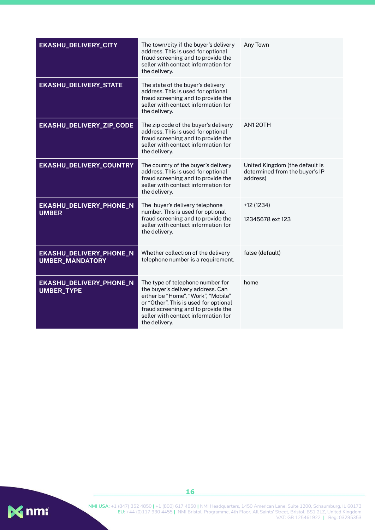| EKASHU_DELIVERY_CITY                              | The town/city if the buyer's delivery<br>address. This is used for optional<br>fraud screening and to provide the<br>seller with contact information for<br>the delivery.                                                                          | Any Town                                                                     |
|---------------------------------------------------|----------------------------------------------------------------------------------------------------------------------------------------------------------------------------------------------------------------------------------------------------|------------------------------------------------------------------------------|
| EKASHU_DELIVERY_STATE                             | The state of the buyer's delivery<br>address. This is used for optional<br>fraud screening and to provide the<br>seller with contact information for<br>the delivery.                                                                              |                                                                              |
| EKASHU_DELIVERY_ZIP_CODE                          | The zip code of the buyer's delivery<br>address. This is used for optional<br>fraud screening and to provide the<br>seller with contact information for<br>the delivery.                                                                           | <b>AN120TH</b>                                                               |
| EKASHU_DELIVERY_COUNTRY                           | The country of the buyer's delivery<br>address. This is used for optional<br>fraud screening and to provide the<br>seller with contact information for<br>the delivery.                                                                            | United Kingdom (the default is<br>determined from the buyer's IP<br>address) |
| EKASHU_DELIVERY_PHONE_N<br><b>UMBER</b>           | The buyer's delivery telephone<br>number. This is used for optional<br>fraud screening and to provide the<br>seller with contact information for<br>the delivery.                                                                                  | +12 (1234)<br>12345678 ext 123                                               |
| EKASHU_DELIVERY_PHONE_N<br><b>UMBER_MANDATORY</b> | Whether collection of the delivery<br>telephone number is a requirement.                                                                                                                                                                           | false (default)                                                              |
| EKASHU_DELIVERY_PHONE_N<br><b>UMBER_TYPE</b>      | The type of telephone number for<br>the buyer's delivery address. Can<br>either be "Home", "Work", "Mobile"<br>or "Other". This is used for optional<br>fraud screening and to provide the<br>seller with contact information for<br>the delivery. | home                                                                         |

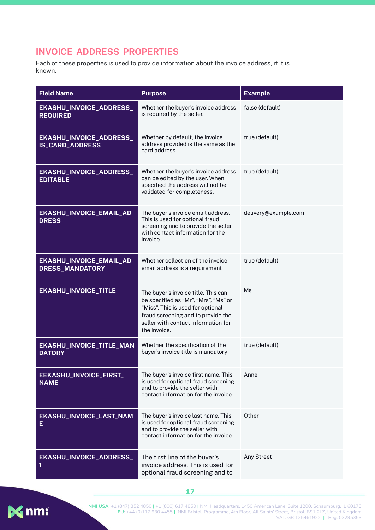## <span id="page-17-0"></span>**INVOICE ADDRESS PROPERTIES**

Each of these properties is used to provide information about the invoice address, if it is known.

| <b>Field Name</b>                                 | <b>Purpose</b>                                                                                                                                                                                                | <b>Example</b>       |
|---------------------------------------------------|---------------------------------------------------------------------------------------------------------------------------------------------------------------------------------------------------------------|----------------------|
| EKASHU_INVOICE_ADDRESS_<br><b>REQUIRED</b>        | Whether the buyer's invoice address<br>is required by the seller.                                                                                                                                             | false (default)      |
| EKASHU_INVOICE_ADDRESS_<br><b>IS_CARD_ADDRESS</b> | Whether by default, the invoice<br>address provided is the same as the<br>card address.                                                                                                                       | true (default)       |
| EKASHU_INVOICE_ADDRESS_<br><b>EDITABLE</b>        | Whether the buyer's invoice address<br>can be edited by the user. When<br>specified the address will not be<br>validated for completeness.                                                                    | true (default)       |
| EKASHU_INVOICE_EMAIL_AD<br><b>DRESS</b>           | The buyer's invoice email address.<br>This is used for optional fraud<br>screening and to provide the seller<br>with contact information for the<br>invoice.                                                  | delivery@example.com |
| EKASHU_INVOICE_EMAIL_AD<br><b>DRESS_MANDATORY</b> | Whether collection of the invoice<br>email address is a requirement                                                                                                                                           | true (default)       |
| <b>EKASHU_INVOICE_TITLE</b>                       | The buyer's invoice title. This can<br>be specified as "Mr", "Mrs", "Ms" or<br>"Miss". This is used for optional<br>fraud screening and to provide the<br>seller with contact information for<br>the invoice. | Ms                   |
| EKASHU_INVOICE_TITLE_MAN<br><b>DATORY</b>         | Whether the specification of the<br>buyer's invoice title is mandatory                                                                                                                                        | true (default)       |
| EEKASHU_INVOICE_FIRST_<br><b>NAME</b>             | The buyer's invoice first name. This<br>is used for optional fraud screening<br>and to provide the seller with<br>contact information for the invoice.                                                        | Anne                 |
| EKASHU_INVOICE_LAST_NAM<br>Е                      | The buyer's invoice last name. This<br>is used for optional fraud screening<br>and to provide the seller with<br>contact information for the invoice.                                                         | Other                |
| EKASHU_INVOICE_ADDRESS_<br>1                      | The first line of the buyer's<br>invoice address. This is used for<br>optional fraud screening and to                                                                                                         | Any Street           |



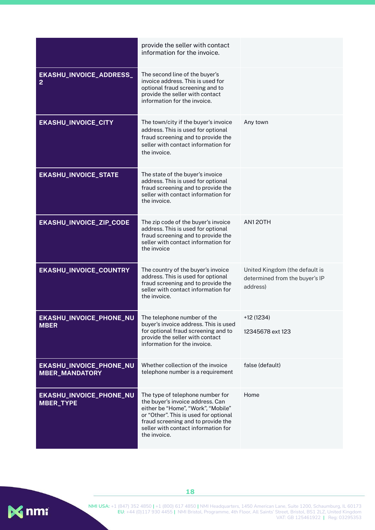|                                                  | provide the seller with contact<br>information for the invoice.                                                                                                                                                                                  |                                                                              |
|--------------------------------------------------|--------------------------------------------------------------------------------------------------------------------------------------------------------------------------------------------------------------------------------------------------|------------------------------------------------------------------------------|
| EKASHU_INVOICE_ADDRESS_<br>$\overline{2}$        | The second line of the buyer's<br>invoice address. This is used for<br>optional fraud screening and to<br>provide the seller with contact<br>information for the invoice.                                                                        |                                                                              |
| <b>EKASHU_INVOICE_CITY</b>                       | The town/city if the buyer's invoice<br>address. This is used for optional<br>fraud screening and to provide the<br>seller with contact information for<br>the invoice.                                                                          | Any town                                                                     |
| <b>EKASHU_INVOICE_STATE</b>                      | The state of the buyer's invoice<br>address. This is used for optional<br>fraud screening and to provide the<br>seller with contact information for<br>the invoice.                                                                              |                                                                              |
| EKASHU_INVOICE_ZIP_CODE                          | The zip code of the buyer's invoice<br>address. This is used for optional<br>fraud screening and to provide the<br>seller with contact information for<br>the invoice                                                                            | AN120TH                                                                      |
| EKASHU_INVOICE_COUNTRY                           | The country of the buyer's invoice<br>address. This is used for optional<br>fraud screening and to provide the<br>seller with contact information for<br>the invoice.                                                                            | United Kingdom (the default is<br>determined from the buyer's IP<br>address) |
| <b>EKASHU_INVOICE_PHONE_NU</b><br><b>MBER</b>    | The telephone number of the<br>buyer's invoice address. This is used<br>for optional fraud screening and to<br>provide the seller with contact<br>information for the invoice.                                                                   | +12 (1234)<br>12345678 ext 123                                               |
| EKASHU_INVOICE_PHONE_NU<br><b>MBER_MANDATORY</b> | Whether collection of the invoice<br>telephone number is a requirement                                                                                                                                                                           | false (default)                                                              |
| EKASHU_INVOICE_PHONE_NU<br><b>MBER_TYPE</b>      | The type of telephone number for<br>the buyer's invoice address. Can<br>either be "Home", "Work", "Mobile"<br>or "Other". This is used for optional<br>fraud screening and to provide the<br>seller with contact information for<br>the invoice. | Home                                                                         |

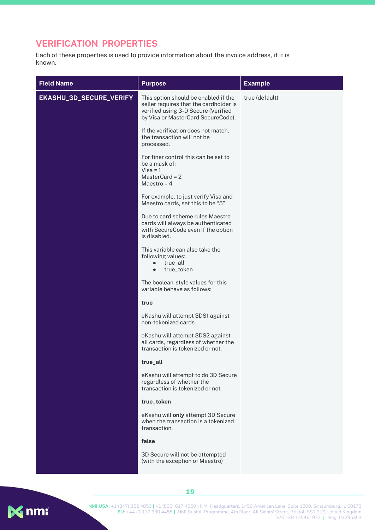#### <span id="page-19-0"></span>**VERIFICATION PROPERTIES**

Each of these properties is used to provide information about the invoice address, if it is known.

| <b>Field Name</b>       | <b>Purpose</b>                                                                                                                                              | <b>Example</b> |
|-------------------------|-------------------------------------------------------------------------------------------------------------------------------------------------------------|----------------|
| EKASHU_3D_SECURE_VERIFY | This option should be enabled if the<br>seller requires that the cardholder is<br>verified using 3-D Secure (Verified<br>by Visa or MasterCard SecureCode). | true (default) |
|                         | If the verification does not match,<br>the transaction will not be<br>processed.                                                                            |                |
|                         | For finer control this can be set to<br>be a mask of:<br>$Visa = 1$<br>MasterCard = 2<br>Maestro = $4$                                                      |                |
|                         | For example, to just verify Visa and<br>Maestro cards, set this to be "5".                                                                                  |                |
|                         | Due to card scheme rules Maestro<br>cards will always be authenticated<br>with SecureCode even if the option<br>is disabled.                                |                |
|                         | This variable can also take the<br>following values:<br>true_all<br>$\bullet$<br>true_token<br>$\bullet$                                                    |                |
|                         | The boolean-style values for this<br>variable behave as follows:                                                                                            |                |
|                         | true                                                                                                                                                        |                |
|                         | eKashu will attempt 3DS1 against<br>non-tokenized cards.                                                                                                    |                |
|                         | eKashu will attempt 3DS2 against<br>all cards, regardless of whether the<br>transaction is tokenized or not.                                                |                |
|                         | true_all                                                                                                                                                    |                |
|                         | eKashu will attempt to do 3D Secure<br>regardless of whether the<br>transaction is tokenized or not.                                                        |                |
|                         | true_token                                                                                                                                                  |                |
|                         | eKashu will only attempt 3D Secure<br>when the transaction is a tokenized<br>transaction.                                                                   |                |
|                         | false                                                                                                                                                       |                |
|                         | 3D Secure will not be attempted<br>(with the exception of Maestro)                                                                                          |                |
|                         |                                                                                                                                                             |                |

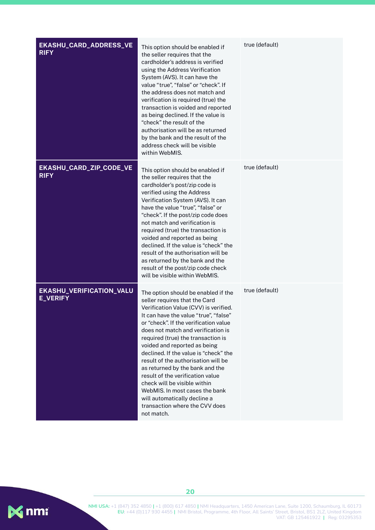| EKASHU_CARD_ADDRESS_VE<br><b>RIFY</b>       | This option should be enabled if<br>the seller requires that the<br>cardholder's address is verified<br>using the Address Verification<br>System (AVS). It can have the<br>value "true", "false" or "check". If<br>the address does not match and<br>verification is required (true) the<br>transaction is voided and reported<br>as being declined. If the value is<br>"check" the result of the<br>authorisation will be as returned<br>by the bank and the result of the<br>address check will be visible<br>within WebMIS.                                                                                       | true (default) |
|---------------------------------------------|----------------------------------------------------------------------------------------------------------------------------------------------------------------------------------------------------------------------------------------------------------------------------------------------------------------------------------------------------------------------------------------------------------------------------------------------------------------------------------------------------------------------------------------------------------------------------------------------------------------------|----------------|
| EKASHU_CARD_ZIP_CODE_VE<br><b>RIFY</b>      | This option should be enabled if<br>the seller requires that the<br>cardholder's post/zip code is<br>verified using the Address<br>Verification System (AVS). It can<br>have the value "true", "false" or<br>"check". If the post/zip code does<br>not match and verification is<br>required (true) the transaction is<br>voided and reported as being<br>declined. If the value is "check" the<br>result of the authorisation will be<br>as returned by the bank and the<br>result of the post/zip code check<br>will be visible within WebMIS.                                                                     | true (default) |
| EKASHU_VERIFICATION_VALU<br><b>E_VERIFY</b> | The option should be enabled if the<br>seller requires that the Card<br>Verification Value (CVV) is verified.<br>It can have the value "true", "false"<br>or "check". If the verification value<br>does not match and verification is<br>required (true) the transaction is<br>voided and reported as being<br>declined. If the value is "check" the<br>result of the authorisation will be<br>as returned by the bank and the<br>result of the verification value<br>check will be visible within<br>WebMIS. In most cases the bank<br>will automatically decline a<br>transaction where the CVV does<br>not match. | true (default) |

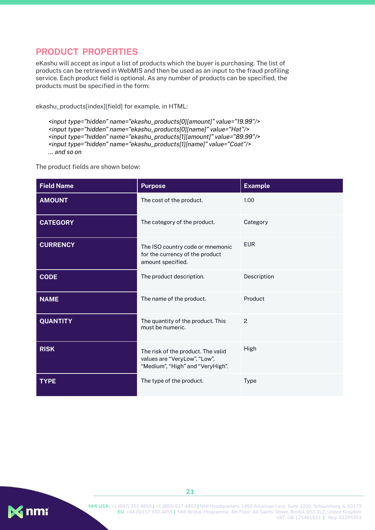#### <span id="page-21-0"></span>**PRODUCT PROPERTIES**

eKashu will accept as input a list of products which the buyer is purchasing. The list of products can be retrieved in WebMIS and then be used as an input to the fraud profiling service. Each product field is optional. As any number of products can be specified, the products must be specified in the form:

ekashu\_products[index][field] for example, in HTML:

*<input type="hidden" name="ekashu\_products[0][amount]" value="19.99"/> <input type="hidden" name="ekashu\_products[0][name]" value="Hat"/> <input type="hidden" name="ekashu\_products[1][amount]" value="89.99"/> <input type="hidden" name="ekashu\_products[1][name]" value="Coat"/> ... and so on*

The product fields are shown below:

| <b>Field Name</b> | <b>Purpose</b>                                                                                         | <b>Example</b> |
|-------------------|--------------------------------------------------------------------------------------------------------|----------------|
| <b>AMOUNT</b>     | The cost of the product.                                                                               | 1.00           |
| <b>CATEGORY</b>   | The category of the product.                                                                           | Category       |
| <b>CURRENCY</b>   | The ISO country code or mnemonic<br>for the currency of the product<br>amount specified.               | <b>EUR</b>     |
| <b>CODE</b>       | The product description.                                                                               | Description    |
| <b>NAME</b>       | The name of the product.                                                                               | Product        |
| <b>QUANTITY</b>   | The quantity of the product. This<br>must be numeric.                                                  | $\mathcal{P}$  |
| <b>RISK</b>       | The risk of the product. The valid<br>values are "VeryLow", "Low",<br>"Medium", "High" and "VeryHigh". | High           |
| <b>TYPE</b>       | The type of the product.                                                                               | Type           |

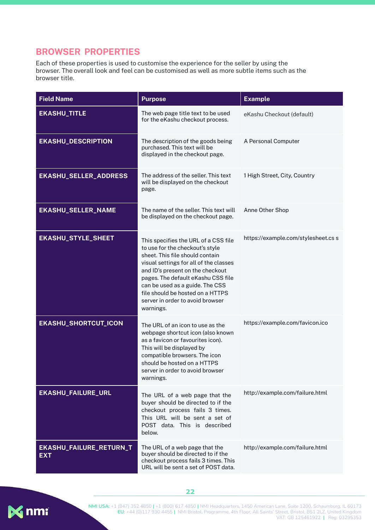#### <span id="page-22-0"></span>**BROWSER PROPERTIES**

Each of these properties is used to customise the experience for the seller by using the browser. The overall look and feel can be customised as well as more subtle items such as the browser title.

| <b>Field Name</b>                     | <b>Purpose</b>                                                                                                                                                                                                                                                                                                                                         | <b>Example</b>                      |
|---------------------------------------|--------------------------------------------------------------------------------------------------------------------------------------------------------------------------------------------------------------------------------------------------------------------------------------------------------------------------------------------------------|-------------------------------------|
| <b>EKASHU_TITLE</b>                   | The web page title text to be used<br>for the eKashu checkout process.                                                                                                                                                                                                                                                                                 | eKashu Checkout (default)           |
| <b>EKASHU_DESCRIPTION</b>             | The description of the goods being<br>purchased. This text will be<br>displayed in the checkout page.                                                                                                                                                                                                                                                  | A Personal Computer                 |
| <b>EKASHU_SELLER_ADDRESS</b>          | The address of the seller. This text<br>will be displayed on the checkout<br>page.                                                                                                                                                                                                                                                                     | 1 High Street, City, Country        |
| <b>EKASHU_SELLER_NAME</b>             | The name of the seller. This text will<br>be displayed on the checkout page.                                                                                                                                                                                                                                                                           | Anne Other Shop                     |
| <b>EKASHU_STYLE_SHEET</b>             | This specifies the URL of a CSS file<br>to use for the checkout's style<br>sheet. This file should contain<br>visual settings for all of the classes<br>and ID's present on the checkout<br>pages. The default eKashu CSS file<br>can be used as a guide. The CSS<br>file should be hosted on a HTTPS<br>server in order to avoid browser<br>warnings. | https://example.com/stylesheet.cs s |
| <b>EKASHU_SHORTCUT_ICON</b>           | The URL of an icon to use as the<br>webpage shortcut icon (also known<br>as a favicon or favourites icon).<br>This will be displayed by<br>compatible browsers. The icon<br>should be hosted on a HTTPS<br>server in order to avoid browser<br>warnings.                                                                                               | https://example.com/favicon.ico     |
| <b>EKASHU_FAILURE_URL</b>             | The URL of a web page that the<br>buyer should be directed to if the<br>checkout process fails 3 times.<br>This URL will be sent a set of<br>POST data. This is described<br>below.                                                                                                                                                                    | http://example.com/failure.html     |
| EKASHU_FAILURE_RETURN_T<br><b>EXT</b> | The URL of a web page that the<br>buyer should be directed to if the<br>checkout process fails 3 times. This<br>URL will be sent a set of POST data.                                                                                                                                                                                                   | http://example.com/failure.html     |

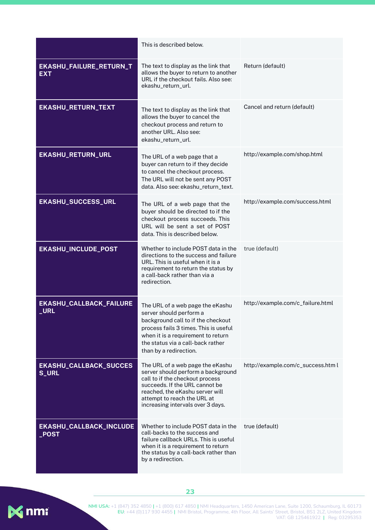|                                               | This is described below.                                                                                                                                                                                                                           |                                    |
|-----------------------------------------------|----------------------------------------------------------------------------------------------------------------------------------------------------------------------------------------------------------------------------------------------------|------------------------------------|
| EKASHU_FAILURE_RETURN_T<br><b>EXT</b>         | The text to display as the link that<br>allows the buyer to return to another<br>URL if the checkout fails. Also see:<br>ekashu_return_url.                                                                                                        | Return (default)                   |
| <b>EKASHU_RETURN_TEXT</b>                     | The text to display as the link that<br>allows the buyer to cancel the<br>checkout process and return to<br>another URL. Also see:<br>ekashu_return_url.                                                                                           | Cancel and return (default)        |
| <b>EKASHU_RETURN_URL</b>                      | The URL of a web page that a<br>buyer can return to if they decide<br>to cancel the checkout process.<br>The URL will not be sent any POST<br>data. Also see: ekashu_return_text.                                                                  | http://example.com/shop.html       |
| <b>EKASHU_SUCCESS_URL</b>                     | The URL of a web page that the<br>buyer should be directed to if the<br>checkout process succeeds. This<br>URL will be sent a set of POST<br>data. This is described below.                                                                        | http://example.com/success.html    |
| EKASHU_INCLUDE_POST                           | Whether to include POST data in the<br>directions to the success and failure<br>URL. This is useful when it is a<br>requirement to return the status by<br>a call-back rather than via a<br>redirection.                                           | true (default)                     |
| EKASHU_CALLBACK_FAILURE<br>_URL               | The URL of a web page the eKashu<br>server should perform a<br>background call to if the checkout<br>process fails 3 times. This is useful<br>when it is a requirement to return<br>the status via a call-back rather<br>than by a redirection.    | http://example.com/c_failure.html  |
| <b>EKASHU_CALLBACK_SUCCES</b><br><b>S_URL</b> | The URL of a web page the eKashu<br>server should perform a background<br>call to if the checkout process<br>succeeds. If the URL cannot be<br>reached, the eKashu server will<br>attempt to reach the URL at<br>increasing intervals over 3 days. | http://example.com/c_success.htm l |
| EKASHU_CALLBACK_INCLUDE<br><b>POST</b>        | Whether to include POST data in the<br>call-backs to the success and<br>failure callback URLs. This is useful<br>when it is a requirement to return<br>the status by a call-back rather than<br>by a redirection.                                  | true (default)                     |



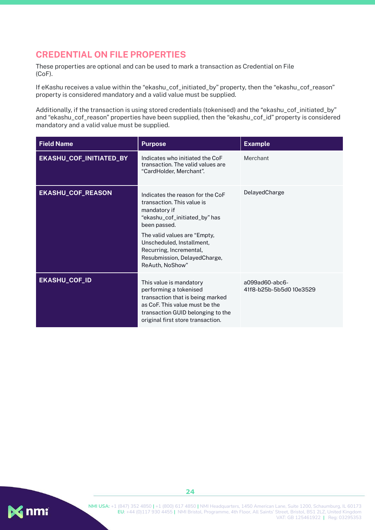#### <span id="page-24-0"></span>**CREDENTIAL ON FILE PROPERTIES**

These properties are optional and can be used to mark a transaction as Credential on File (CoF).

If eKashu receives a value within the "ekashu\_cof\_initiated\_by" property, then the "ekashu\_cof\_reason" property is considered mandatory and a valid value must be supplied.

Additionally, if the transaction is using stored credentials (tokenised) and the "ekashu\_cof\_initiated\_by" and "ekashu\_cof\_reason" properties have been supplied, then the "ekashu\_cof\_id" property is considered mandatory and a valid value must be supplied.

| <b>Field Name</b>        | <b>Purpose</b>                                                                                                                                                                                                                                                             | <b>Example</b>                                       |
|--------------------------|----------------------------------------------------------------------------------------------------------------------------------------------------------------------------------------------------------------------------------------------------------------------------|------------------------------------------------------|
| EKASHU_COF_INITIATED_BY  | Indicates who initiated the CoF<br>transaction. The valid values are<br>"CardHolder, Merchant".                                                                                                                                                                            | Merchant                                             |
| <b>EKASHU_COF_REASON</b> | Indicates the reason for the CoF<br>transaction. This value is<br>mandatory if<br>"ekashu_cof_initiated_by" has<br>been passed.<br>The valid values are "Empty,<br>Unscheduled, Installment,<br>Recurring, Incremental,<br>Resubmission, DelayedCharge,<br>ReAuth, NoShow" | DelayedCharge                                        |
| <b>EKASHU_COF_ID</b>     | This value is mandatory<br>performing a tokenised<br>transaction that is being marked<br>as CoF. This value must be the<br>transaction GUID belonging to the<br>original first store transaction.                                                                          | $a099$ ad $60$ -abc $6$ -<br>41f8-b25b-5b5d0 10e3529 |

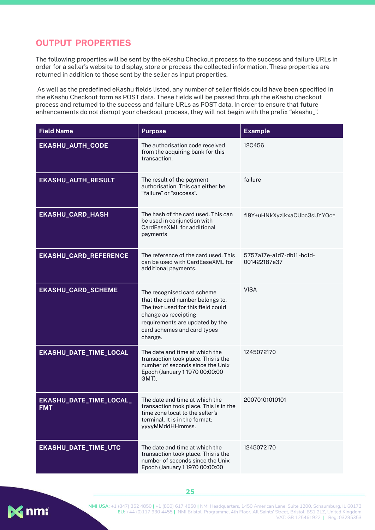#### **OUTPUT PROPERTIES**

The following properties will be sent by the eKashu Checkout process to the success and failure URLs in order for a seller's website to display, store or process the collected information. These properties are returned in addition to those sent by the seller as input properties.

As well as the predefined eKashu fields listed, any number of seller fields could have been specified in the eKashu Checkout form as POST data. These fields will be passed through the eKashu checkout process and returned to the success and failure URLs as POST data. In order to ensure that future enhancements do not disrupt your checkout process, they will not begin with the prefix "ekashu\_".

| <b>Field Name</b>                     | <b>Purpose</b>                                                                                                                                                                                            | <b>Example</b>                           |
|---------------------------------------|-----------------------------------------------------------------------------------------------------------------------------------------------------------------------------------------------------------|------------------------------------------|
| <b>EKASHU_AUTH_CODE</b>               | The authorisation code received<br>from the acquiring bank for this<br>transaction.                                                                                                                       | 12C456                                   |
| <b>EKASHU_AUTH_RESULT</b>             | The result of the payment<br>authorisation. This can either be<br>"failure" or "success".                                                                                                                 | failure                                  |
| <b>EKASHU_CARD_HASH</b>               | The hash of the card used. This can<br>be used in conjunction with<br>CardEaseXML for additional<br>payments                                                                                              | fl9Y+uHNkXyzlkxaCUbc3sUYYOc=             |
| <b>EKASHU_CARD_REFERENCE</b>          | The reference of the card used. This<br>can be used with CardEaseXML for<br>additional payments.                                                                                                          | 5757a17e-a1d7-db11-bc1d-<br>001422187e37 |
| <b>EKASHU_CARD_SCHEME</b>             | The recognised card scheme<br>that the card number belongs to.<br>The text used for this field could<br>change as receipting<br>requirements are updated by the<br>card schemes and card types<br>change. | <b>VISA</b>                              |
| EKASHU_DATE_TIME_LOCAL                | The date and time at which the<br>transaction took place. This is the<br>number of seconds since the Unix<br>Epoch (January 1 1970 00:00:00<br>GMT).                                                      | 1245072170                               |
| EKASHU_DATE_TIME_LOCAL_<br><b>FMT</b> | The date and time at which the<br>transaction took place. This is in the<br>time zone local to the seller's<br>terminal. It is in the format:<br>yyyyMMddHHmmss.                                          | 20070101010101                           |
| EKASHU_DATE_TIME_UTC                  | The date and time at which the<br>transaction took place. This is the<br>number of seconds since the Unix<br>Epoch (January 1 1970 00:00:00                                                               | 1245072170                               |



**NMI USA:** +1 (847) 352 4850 **|** +1 (800) 617 4850 **|** NMI Headquarters, 1450 American Lane, Suite 1200, Schaumburg, IL 60173 **EU:** +44 (0)117 930 4455 **|** NMI Bristol, Programme, 4th Floor, All Saints' Street, Bristol, BS1 2LZ, United Kingdom VAT: GB 125461922 **|** Reg: 03295353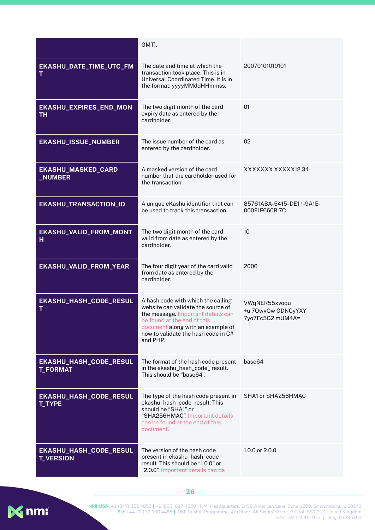|                                            | GMT).                                                                                                                                                                                                                                 |                                                         |
|--------------------------------------------|---------------------------------------------------------------------------------------------------------------------------------------------------------------------------------------------------------------------------------------|---------------------------------------------------------|
| EKASHU_DATE_TIME_UTC_FM<br>т               | The date and time at which the<br>transaction took place. This is in<br>Universal Coordinated Time. It is in<br>the format: yyyyMMddHHmmss.                                                                                           | 20070101010101                                          |
| EKASHU_EXPIRES_END_MON<br><b>TH</b>        | The two digit month of the card<br>expiry date as entered by the<br>cardholder.                                                                                                                                                       | 01                                                      |
| <b>EKASHU_ISSUE_NUMBER</b>                 | The issue number of the card as<br>entered by the cardholder.                                                                                                                                                                         | 02                                                      |
| <b>EKASHU_MASKED_CARD</b><br>_NUMBER       | A masked version of the card<br>number that the cardholder used for<br>the transaction.                                                                                                                                               | XXXXXXXXXXXX1234                                        |
| <b>EKASHU_TRANSACTION_ID</b>               | A unique eKashu identifier that can<br>be used to track this transaction.                                                                                                                                                             | 85761ABA-5415-DE11-9A1E-<br>000F1F660B7C                |
| EKASHU_VALID_FROM_MONT<br>н                | The two digit month of the card<br>valid from date as entered by the<br>cardholder.                                                                                                                                                   | 10                                                      |
| EKASHU_VALID_FROM_YEAR                     | The four digit year of the card valid<br>from date as entered by the<br>cardholder.                                                                                                                                                   | 2006                                                    |
| EKASHU_HASH_CODE_RESUL<br>Т                | A hash code with which the calling<br>website can validate the source of<br>the message. Important details can<br>be found at the end of this<br>document along with an example of<br>how to validate the hash code in C#<br>and PHP. | VWqNER55xvoqu<br>+u 7QwvQw GDNCyYXY<br>7yo7Fc5G2 mUM4A= |
| EKASHU_HASH_CODE_RESUL<br><b>T_FORMAT</b>  | The format of the hash code present<br>in the ekashu_hash_code_result.<br>This should be "base64".                                                                                                                                    | base64                                                  |
| EKASHU_HASH_CODE_RESUL<br><b>T_TYPE</b>    | The type of the hash code present in<br>ekashu_hash_code_result. This<br>should be "SHA1" or<br>"SHA256HMAC" Important details<br>can be found at the end of this<br>document.                                                        | SHA1 or SHA256HMAC                                      |
| EKASHU_HASH_CODE_RESUL<br><b>T_VERSION</b> | The version of the hash code<br>present in ekashu_hash_code_<br>result. This should be "1.0.0" or<br>"2.0.0". Important details can be                                                                                                | 1.0.0 or 2.0.0                                          |

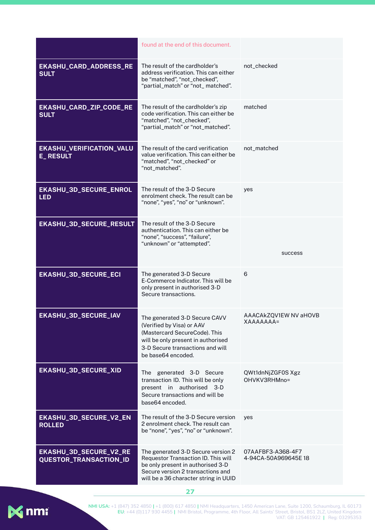|                                                  | found at the end of this document.                                                                                                                                                           |                                           |
|--------------------------------------------------|----------------------------------------------------------------------------------------------------------------------------------------------------------------------------------------------|-------------------------------------------|
| EKASHU_CARD_ADDRESS_RE<br><b>SULT</b>            | The result of the cardholder's<br>address verification. This can either<br>be "matched", "not_checked",<br>"partial_match" or "not_matched".                                                 | not_checked                               |
| EKASHU_CARD_ZIP_CODE_RE<br><b>SULT</b>           | The result of the cardholder's zip<br>code verification. This can either be<br>"matched", "not_checked",<br>"partial_match" or "not_matched".                                                | matched                                   |
| EKASHU_VERIFICATION_VALU<br><b>E_RESULT</b>      | The result of the card verification<br>value verification. This can either be<br>"matched", "not_checked" or<br>"not_matched".                                                               | not_matched                               |
| EKASHU_3D_SECURE_ENROL<br><b>LED</b>             | The result of the 3-D Secure<br>enrolment check. The result can be<br>"none", "yes", "no" or "unknown".                                                                                      | yes                                       |
| EKASHU_3D_SECURE_RESULT                          | The result of the 3-D Secure<br>authentication. This can either be<br>"none", "success", "failure",<br>"unknown" or "attempted".                                                             | success                                   |
| <b>EKASHU_3D_SECURE_ECI</b>                      | The generated 3-D Secure<br>E-Commerce Indicator. This will be<br>only present in authorised 3-D<br>Secure transactions.                                                                     | 6                                         |
| EKASHU_3D_SECURE_IAV                             | The generated 3-D Secure CAVV<br>(Verified by Visa) or AAV<br>(Mastercard SecureCode). This<br>will be only present in authorised<br>3-D Secure transactions and will<br>be base64 encoded.  | AAACAkZQV1EW NV aHOVB<br><b>XAAAAAAA=</b> |
| EKASHU_3D_SECURE_XID                             | The generated 3-D Secure<br>transaction ID. This will be only<br>present in authorised 3-D<br>Secure transactions and will be<br>base64 encoded.                                             | QWt1dnNjZGF0S Xgz<br>OHVKV3RHMno=         |
| EKASHU_3D_SECURE_V2_EN<br><b>ROLLED</b>          | The result of the 3-D Secure version<br>2 enrolment check. The result can<br>be "none", "yes", "no" or "unknown".                                                                            | yes                                       |
| EKASHU_3D_SECURE_V2_RE<br>QUESTOR_TRANSACTION_ID | The generated 3-D Secure version 2<br>Requestor Transaction ID. This will<br>be only present in authorised 3-D<br>Secure version 2 transactions and<br>will be a 36 character string in UUID | 07AAFBF3-A368-4F7<br>4-94CA-50A969645E18  |

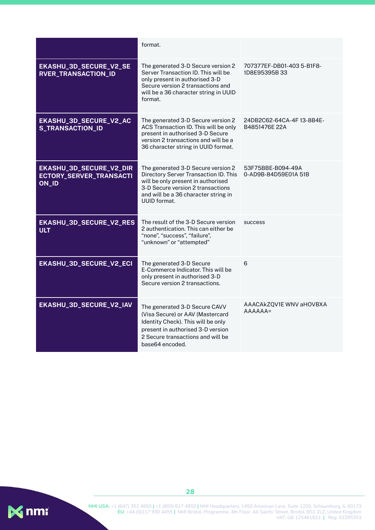|                                                             | format.                                                                                                                                                                                                               |                                           |
|-------------------------------------------------------------|-----------------------------------------------------------------------------------------------------------------------------------------------------------------------------------------------------------------------|-------------------------------------------|
| EKASHU_3D_SECURE_V2_SE<br><b>RVER_TRANSACTION_ID</b>        | The generated 3-D Secure version 2<br>Server Transaction ID. This will be<br>only present in authorised 3-D<br>Secure version 2 transactions and<br>will be a 36 character string in UUID<br>format.                  | 707377EF-DB01-403 5-B1F8-<br>1D8E95395B33 |
| EKASHU_3D_SECURE_V2_AC<br><b>S_TRANSACTION_ID</b>           | The generated 3-D Secure version 2<br>ACS Transaction ID. This will be only<br>present in authorised 3-D Secure<br>version 2 transactions and will be a<br>36 character string in UUID format.                        | 24DB2C62-64CA-4F13-8B4E-<br>B4851476E 22A |
| EKASHU_3D_SECURE_V2_DIR<br>ECTORY_SERVER_TRANSACTI<br>ON_ID | The generated 3-D Secure version 2<br>Directory Server Transaction ID. This<br>will be only present in authorised<br>3-D Secure version 2 transactions<br>and will be a 36 character string in<br><b>UUID</b> format. | 53F75BBE-B094-49A<br>0-AD9B-84D59E01A 51B |
| EKASHU_3D_SECURE_V2_RES<br><b>ULT</b>                       | The result of the 3-D Secure version<br>2 authentication. This can either be<br>"none", "success", "failure",<br>"unknown" or "attempted"                                                                             | success                                   |
| EKASHU_3D_SECURE_V2_ECI                                     | The generated 3-D Secure<br>E-Commerce Indicator. This will be<br>only present in authorised 3-D<br>Secure version 2 transactions.                                                                                    | 6                                         |
| EKASHU_3D_SECURE_V2_IAV                                     | The generated 3-D Secure CAVV<br>(Visa Secure) or AAV (Mastercard<br>Identity Check). This will be only<br>present in authorised 3-D version<br>2 Secure transactions and will be<br>base64 encoded.                  | AAACAkZQV1E WNV aHOVBXA<br>$AAAAA =$      |

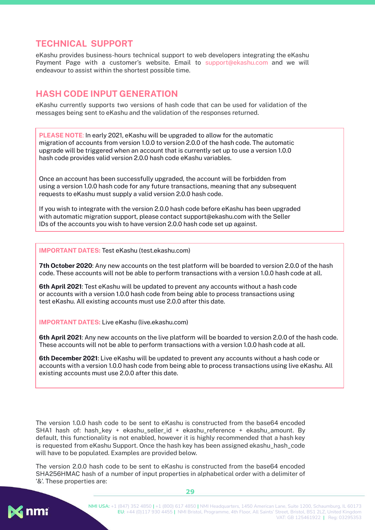#### <span id="page-29-0"></span>**TECHNICAL SUPPORT**

eKashu provides business-hours technical support to web developers integrating the eKashu Payment Page with a customer's website. Email to support@ekashu.com and we will endeavour to assist within the shortest possible time.

#### <span id="page-29-1"></span>**HASH CODE INPUT GENERATION**

eKashu currently supports two versions of hash code that can be used for validation of the messages being sent to eKashu and the validation of the responses returned.

**PLEASE NOTE**: In early 2021, eKashu will be upgraded to allow for the automatic migration of accounts from version 1.0.0 to version 2.0.0 of the hash code. The automatic upgrade will be triggered when an account that is currently set up to use a version 1.0.0 hash code provides valid version 2.0.0 hash code eKashu variables.

Once an account has been successfully upgraded, the account will be forbidden from using a version 1.0.0 hash code for any future transactions, meaning that any subsequent requests to eKashu must supply a valid version 2.0.0 hash code.

If you wish to integrate with the version 2.0.0 hash code before eKashu has been upgraded with automatic migration support, please contact support@ekashu.com with the Seller IDs of the accounts you wish to have version 2.0.0 hash code set up against.

**IMPORTANT DATES:** Test eKashu (test.ekashu.com)

**7th October 2020**: Any new accounts on the test platform will be boarded to version 2.0.0 of the hash code. These accounts will not be able to perform transactions with a version 1.0.0 hash code at all.

**6th April 2021**: Test eKashu will be updated to prevent any accounts without a hash code or accounts with a version 1.0.0 hash code from being able to process transactions using test eKashu. All existing accounts must use 2.0.0 after this date.

**IMPORTANT DATES:** Live eKashu (live.ekashu.com)

**6th April 2021**: Any new accounts on the live platform will be boarded to version 2.0.0 of the hash code. These accounts will not be able to perform transactions with a version 1.0.0 hash code at all.

**6th December 2021**: Live eKashu will be updated to prevent any accounts without a hash code or accounts with a version 1.0.0 hash code from being able to process transactions using live eKashu. All existing accounts must use 2.0.0 after this date.

The version 1.0.0 hash code to be sent to eKashu is constructed from the base64 encoded SHA1 hash of: hash key + ekashu seller id + ekashu reference + ekashu amount. By default, this functionality is not enabled, however it is highly recommended that a hash key is requested from eKashu Support. Once the hash key has been assigned ekashu hash code will have to be populated. Examples are provided below.

The version 2.0.0 hash code to be sent to eKashu is constructed from the base64 encoded SHA256HMAC hash of a number of input properties in alphabetical order with a delimiter of '&'. These properties are:



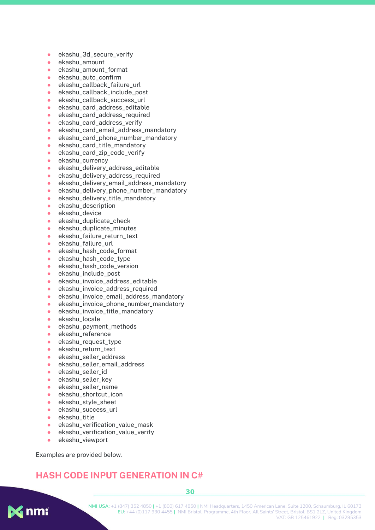- ekashu\_3d\_secure\_verify
- ekashu\_amount
- ekashu\_amount\_format
- ekashu\_auto\_confirm
- ekashu\_callback\_failure\_url
- ekashu\_callback\_include\_post
- ekashu\_callback\_success\_url
- ekashu\_card\_address\_editable
- ekashu\_card\_address\_required
- ekashu\_card\_address\_verify
- ekashu\_card\_email\_address\_mandatory
- ekashu\_card\_phone\_number\_mandatory
- ekashu\_card\_title\_mandatory
- ekashu\_card\_zip\_code\_verify
- ekashu\_currency
- ekashu\_delivery\_address\_editable
- ekashu\_delivery\_address\_required
- ekashu\_delivery\_email\_address\_mandatory
- ekashu\_delivery\_phone\_number\_mandatory
- ekashu\_delivery\_title\_mandatory
- ekashu\_description
- ekashu\_device
- ekashu\_duplicate\_check
- ekashu\_duplicate\_minutes
- ekashu\_failure\_return\_text
- ekashu\_failure\_url
- ekashu\_hash\_code\_format
- ekashu\_hash\_code\_type
- ekashu\_hash\_code\_version
- ekashu\_include\_post
- ekashu\_invoice\_address\_editable
- ekashu\_invoice\_address\_required
- ekashu\_invoice\_email\_address\_mandatory
- ekashu\_invoice\_phone\_number\_mandatory
- ekashu\_invoice\_title\_mandatory
- ekashu\_locale
- ekashu\_payment\_methods
- ekashu\_reference
- ekashu\_request\_type
- ekashu\_return\_text
- ekashu\_seller\_address
- ekashu\_seller\_email\_address
- ekashu\_seller\_id
- ekashu\_seller\_key
- ekashu\_seller\_name
- ekashu\_shortcut\_icon
- ekashu\_style\_sheet
- ekashu\_success\_url
- ekashu\_title
- ekashu\_verification\_value\_mask
- ekashu\_verification\_value\_verify
- ekashu viewport

Examples are provided below.

#### <span id="page-30-0"></span>**HASH CODE INPUT GENERATION IN C#**

**K** nmi

**NMI USA:** +1 (847) 352 4850 **|** +1 (800) 617 4850 **|** NMI Headquarters, 1450 American Lane, Suite 1200, Schaumburg, IL 60173 **EU:** +44 (0)117 930 4455 **|** NMI Bristol, Programme, 4th Floor, All Saints' Street, Bristol, BS1 2LZ, United Kingdom VAT: GB 125461922 **|** Reg: 03295353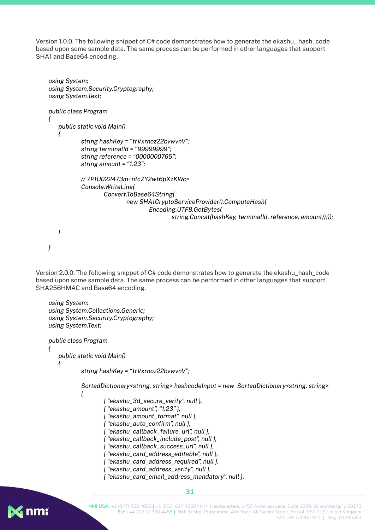Version 1.0.0. The following snippet of C# code demonstrates how to generate the ekashu\_ hash\_code based upon some sample data. The same process can be performed in other languages that support SHA1 and Base64 encoding.

```
using System;
using System.Security.Cryptography;
using System.Text;
public class Program
{
   public static void Main()
   {
           string hashKey = "trVxrnoz22bvwvnV";
           string terminalId = "99999999";
           string reference = "0000000765";
           string amount = "1.23";
           // 7PtU022473m+ntcZY2wt6pXzKWc=
           Console.WriteLine(
                  Convert.ToBase64String(
                          new SHA1CryptoServiceProvider().ComputeHash(
                                  Encoding.UTF8.GetBytes(
                                         string.Concat(hashKey, terminalId, reference, amount)))));
   }
```

```
}
```
Version 2.0.0. The following snippet of C# code demonstrates how to generate the ekashu hash code based upon some sample data. The same process can be performed in other languages that support SHA256HMAC and Base64 encoding.

```
using System;
using System.Collections.Generic;
using System.Security.Cryptography;
using System.Text;
public class Program
{
   public static void Main()
   {
           string hashKey = "trVxrnoz22bvwvnV";
           SortedDictionary<string, string> hashcodeInput = new SortedDictionary<string, string>
           {
                   { "ekashu_3d_secure_verify", null },
                   { "ekashu_amount", "1.23" },
                   { "ekashu_amount_format", null },
                   { "ekashu_auto_confirm", null },
                   { "ekashu_callback_failure_url", null },
                   { "ekashu_callback_include_post", null },
                   { "ekashu_callback_success_url", null },
                   { "ekashu_card_address_editable", null },
                   { "ekashu_card_address_required", null },
                   { "ekashu_card_address_verify", null },
                   { "ekashu_card_email_address_mandatory", null },
```
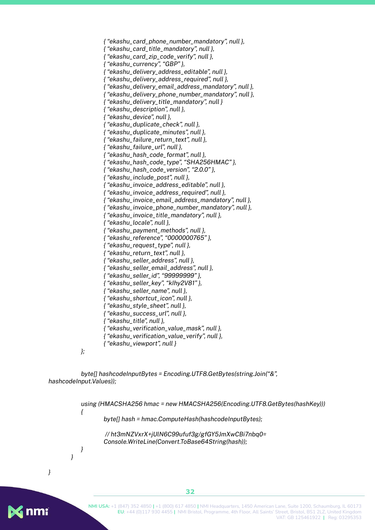*{ "ekashu\_card\_phone\_number\_mandatory", null }, { "ekashu\_card\_title\_mandatory", null }, { "ekashu\_card\_zip\_code\_verify", null }, { "ekashu\_currency", "GBP" }, { "ekashu\_delivery\_address\_editable", null }, { "ekashu\_delivery\_address\_required", null }, { "ekashu\_delivery\_email\_address\_mandatory", null }, { "ekashu\_delivery\_phone\_number\_mandatory", null }, { "ekashu\_delivery\_title\_mandatory", null } { "ekashu\_description", null }, { "ekashu\_device", null }, { "ekashu\_duplicate\_check", null }, { "ekashu\_duplicate\_minutes", null }, { "ekashu\_failure\_return\_text", null }, { "ekashu\_failure\_url", null }, { "ekashu\_hash\_code\_format", null }, { "ekashu\_hash\_code\_type", "SHA256HMAC" }, { "ekashu\_hash\_code\_version", "2.0.0" }, { "ekashu\_include\_post", null }, { "ekashu\_invoice\_address\_editable", null }, { "ekashu\_invoice\_address\_required", null }, { "ekashu\_invoice\_email\_address\_mandatory", null }, { "ekashu\_invoice\_phone\_number\_mandatory", null }, { "ekashu\_invoice\_title\_mandatory", null }, { "ekashu\_locale", null }, { "ekashu\_payment\_methods", null }, { "ekashu\_reference", "0000000765" }, { "ekashu\_request\_type", null }, { "ekashu\_return\_text", null }, { "ekashu\_seller\_address", null }, { "ekashu\_seller\_email\_address", null }, { "ekashu\_seller\_id", "99999999" }, { "ekashu\_seller\_key", "kIhy2V81" }, { "ekashu\_seller\_name", null }, { "ekashu\_shortcut\_icon", null }, { "ekashu\_style\_sheet", null }, { "ekashu\_success\_url", null }, { "ekashu\_title", null }, { "ekashu\_verification\_value\_mask", null }, { "ekashu\_verification\_value\_verify", null }, { "ekashu\_viewport", null }*

*byte[] hashcodeInputBytes = Encoding.UTF8.GetBytes(string.Join("&", hashcodeInput.Values));*

*};*

*using (HMACSHA256 hmac = new HMACSHA256(Encoding.UTF8.GetBytes(hashKey))) { byte[] hash = hmac.ComputeHash(hashcodeInputBytes); // ht3mNZVxrX+jUlN6C99ufuf3g/gfGY5JmXwCBi7nbq0= Console.WriteLine(Convert.ToBase64String(hash)); } }*

*}*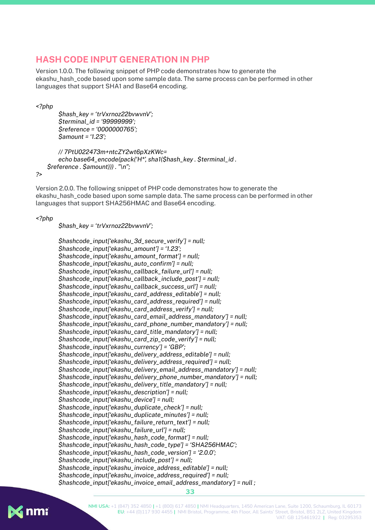#### <span id="page-33-0"></span>**HASH CODE INPUT GENERATION IN PHP**

Version 1.0.0. The following snippet of PHP code demonstrates how to generate the ekashu\_hash\_code based upon some sample data. The same process can be performed in other languages that support SHA1 and Base64 encoding.

*<?php*

```
$hash_key = 'trVxrnoz22bvwvnV';
$terminal_id = '99999999';
$reference = '0000000765';
$amount = '1.23';
```

```
// 7PtU022473m+ntcZY2wt6pXzKWc=
   echo base64_encode(pack('H*', sha1($hash_key . $terminal_id .
$reference . $amount))) . "\n";
```
*?>*

Version 2.0.0. The following snippet of PHP code demonstrates how to generate the ekashu\_hash\_code based upon some sample data. The same process can be performed in other languages that support SHA256HMAC and Base64 encoding.

*<?php*

*\$hash\_key = 'trVxrnoz22bvwvnV';*

```
$hashcode_input['ekashu_3d_secure_verify'] = null;
$hashcode_input['ekashu_amount'] = '1.23';
$hashcode_input['ekashu_amount_format'] = null;
$hashcode_input['ekashu_auto_confirm'] = null;
$hashcode_input['ekashu_callback_failure_url'] = null;
$hashcode_input['ekashu_callback_include_post'] = null;
$hashcode_input['ekashu_callback_success_url'] = null;
$hashcode_input['ekashu_card_address_editable'] = null;
$hashcode_input['ekashu_card_address_required'] = null;
$hashcode_input['ekashu_card_address_verify'] = null;
$hashcode_input['ekashu_card_email_address_mandatory'] = null;
$hashcode_input['ekashu_card_phone_number_mandatory'] = null;
$hashcode_input['ekashu_card_title_mandatory'] = null;
$hashcode_input['ekashu_card_zip_code_verify'] = null;
$hashcode_input['ekashu_currency'] = 'GBP';
$hashcode_input['ekashu_delivery_address_editable'] = null;
$hashcode_input['ekashu_delivery_address_required'] = null;
$hashcode_input['ekashu_delivery_email_address_mandatory'] = null;
$hashcode_input['ekashu_delivery_phone_number_mandatory'] = null;
$hashcode_input['ekashu_delivery_title_mandatory'] = null;
$hashcode_input['ekashu_description'] = null;
$hashcode_input['ekashu_device'] = null;
$hashcode_input['ekashu_duplicate_check'] = null;
$hashcode_input['ekashu_duplicate_minutes'] = null;
$hashcode_input['ekashu_failure_return_text'] = null;
$hashcode_input['ekashu_failure_url'] = null;
$hashcode_input['ekashu_hash_code_format'] = null;
$hashcode_input['ekashu_hash_code_type'] = 'SHA256HMAC';
$hashcode_input['ekashu_hash_code_version'] = '2.0.0';
$hashcode_input['ekashu_include_post'] = null;
$hashcode_input['ekashu_invoice_address_editable'] = null;
$hashcode_input['ekashu_invoice_address_required'] = null;
$hashcode_input['ekashu_invoice_email_address_mandatory'] = null ;
```
**X** nmi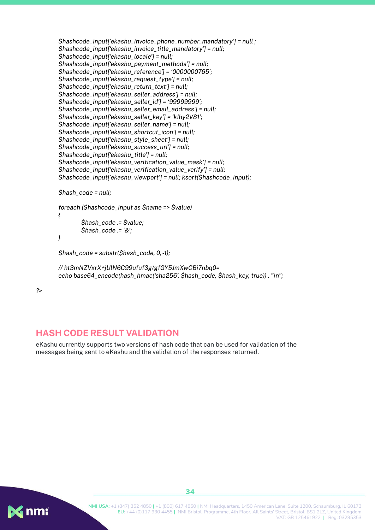```
$hashcode_input['ekashu_invoice_phone_number_mandatory'] = null ;
$hashcode_input['ekashu_invoice_title_mandatory'] = null;
$hashcode_input['ekashu_locale'] = null;
$hashcode_input['ekashu_payment_methods'] = null;
$hashcode_input['ekashu_reference'] = '0000000765';
$hashcode_input['ekashu_request_type'] = null;
$hashcode_input['ekashu_return_text'] = null;
$hashcode_input['ekashu_seller_address'] = null;
$hashcode_input['ekashu_seller_id'] = '99999999';
$hashcode_input['ekashu_seller_email_address'] = null;
$hashcode_input['ekashu_seller_key'] = 'kIhy2V81';
$hashcode_input['ekashu_seller_name'] = null;
$hashcode_input['ekashu_shortcut_icon'] = null;
$hashcode_input['ekashu_style_sheet'] = null;
$hashcode_input['ekashu_success_url'] = null;
$hashcode_input['ekashu_title'] = null;
$hashcode_input['ekashu_verification_value_mask'] = null;
$hashcode_input['ekashu_verification_value_verify'] = null;
$hashcode_input['ekashu_viewport'] = null; ksort($hashcode_input);
$hash_code = null;
foreach ($hashcode_input as $name => $value)
{
        $hash_code .= $value;
        $hash_code .= '&';
}
$hash_code = substr($hash_code, 0,-1);
// ht3mNZVxrX+jUlN6C99ufuf3g/gfGY5JmXwCBi7nbq0=
```
*echo base64\_encode(hash\_hmac('sha256', \$hash\_code, \$hash\_key, true)) . "\n";*

*?>*

#### <span id="page-34-0"></span>**HASH CODE RESULT VALIDATION**

eKashu currently supports two versions of hash code that can be used for validation of the messages being sent to eKashu and the validation of the responses returned.

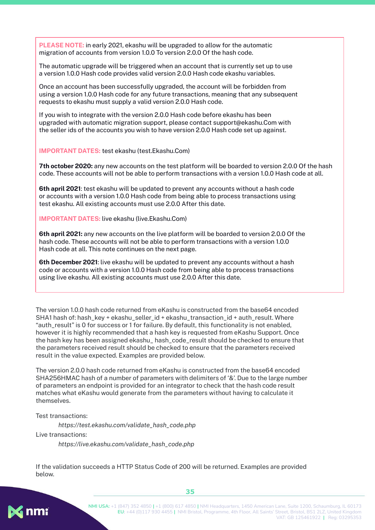**PLEASE NOTE:** in early 2021, ekashu will be upgraded to allow for the automatic migration of accounts from version 1.0.0 To version 2.0.0 Of the hash code.

The automatic upgrade will be triggered when an account that is currently set up to use a version 1.0.0 Hash code provides valid version 2.0.0 Hash code ekashu variables.

Once an account has been successfully upgraded, the account will be forbidden from using a version 1.0.0 Hash code for any future transactions, meaning that any subsequent requests to ekashu must supply a valid version 2.0.0 Hash code.

If you wish to integrate with the version 2.0.0 Hash code before ekashu has been upgraded with automatic migration support, please contact support@ekashu.Com with the seller ids of the accounts you wish to have version 2.0.0 Hash code set up against.

**IMPORTANT DATES:** test ekashu (test.Ekashu.Com)

**7th october 2020:** any new accounts on the test platform will be boarded to version 2.0.0 Of the hash code. These accounts will not be able to perform transactions with a version 1.0.0 Hash code at all.

**6th april 2021**: test ekashu will be updated to prevent any accounts without a hash code or accounts with a version 1.0.0 Hash code from being able to process transactions using test ekashu. All existing accounts must use 2.0.0 After this date.

**IMPORTANT DATES:** live ekashu (live.Ekashu.Com)

**6th april 2021:** any new accounts on the live platform will be boarded to version 2.0.0 Of the hash code. These accounts will not be able to perform transactions with a version 1.0.0 Hash code at all. This note continues on the next page.

**6th December 2021**: live ekashu will be updated to prevent any accounts without a hash code or accounts with a version 1.0.0 Hash code from being able to process transactions using live ekashu. All existing accounts must use 2.0.0 After this date.

The version 1.0.0 hash code returned from eKashu is constructed from the base64 encoded SHA1 hash of: hash\_key + ekashu\_seller\_id + ekashu\_transaction\_id + auth\_result. Where "auth\_result" is 0 for success or 1 for failure. By default, this functionality is not enabled, however it is highly recommended that a hash key is requested from eKashu Support. Once the hash key has been assigned ekashu\_ hash\_code\_result should be checked to ensure that the parameters received result should be checked to ensure that the parameters received result in the value expected. Examples are provided below.

The version 2.0.0 hash code returned from eKashu is constructed from the base64 encoded SHA256HMAC hash of a number of parameters with delimiters of '&'. Due to the large number of parameters an endpoint is provided for an integrator to check that the hash code result matches what eKashu would generate from the parameters without having to calculate it themselves.

Test transactions:

*https://test.ekashu.com/validate\_hash\_code.php* Live transactions: *https://live.ekashu.com/validate\_hash\_code.php*

If the validation succeeds a HTTP Status Code of 200 will be returned. Examples are provided below.

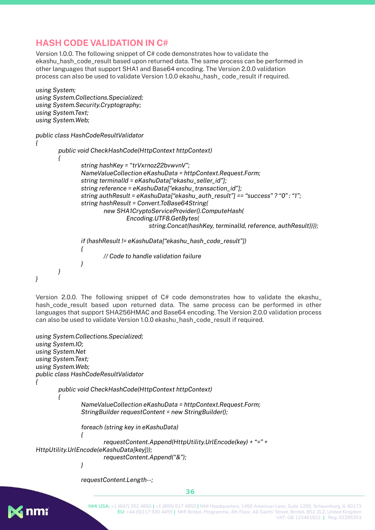#### **HASH CODE VALIDATION IN C#**

Version 1.0.0. The following snippet of C# code demonstrates how to validate the ekashu\_hash\_code\_result based upon returned data. The same process can be performed in other languages that support SHA1 and Base64 encoding. The Version 2.0.0 validation process can also be used to validate Version 1.0.0 ekashu\_hash\_ code\_result if required.

```
using System;
using System.Collections.Specialized;
using System.Security.Cryptography;
using System.Text;
using System.Web;
public class HashCodeResultValidator
{
       public void CheckHashCode(HttpContext httpContext)
       {
               string hashKey = "trVxrnoz22bvwvnV";
               NameValueCollection eKashuData = httpContext.Request.Form;
               string terminalId = eKashuData["ekashu_seller_id"];
               string reference = eKashuData["ekashu_transaction_id"];
               string authResult = eKashuData["ekashu_auth_result"] == "success" ? "0" : "1";
               string hashResult = Convert.ToBase64String(
                       new SHA1CryptoServiceProvider().ComputeHash(
                               Encoding.UTF8.GetBytes(
                                       string.Concat(hashKey, terminalId, reference, authResult))));
               if (hashResult != eKashuData["ekashu_hash_code_result"])
               {
                       // Code to handle validation failure
               }
       }
}
```
Version 2.0.0. The following snippet of C# code demonstrates how to validate the ekashu\_ hash\_code\_result based upon returned data. The same process can be performed in other languages that support SHA256HMAC and Base64 encoding. The Version 2.0.0 validation process can also be used to validate Version 1.0.0 ekashu\_hash\_code\_result if required.

```
using System.Collections.Specialized;
using System.IO;
using System.Net
using System.Text;
using System.Web;
public class HashCodeResultValidator
{
       public void CheckHashCode(HttpContext httpContext)
       {
               NameValueCollection eKashuData = httpContext.Request.Form;
               StringBuilder requestContent = new StringBuilder();
               foreach (string key in eKashuData)
               {
                       requestContent.Append(HttpUtility.UrlEncode(key) + "=" +
HttpUtility.UrlEncode(eKashuData[key]));
                       requestContent.Append("&");
               }
```
*requestContent.Length--;*

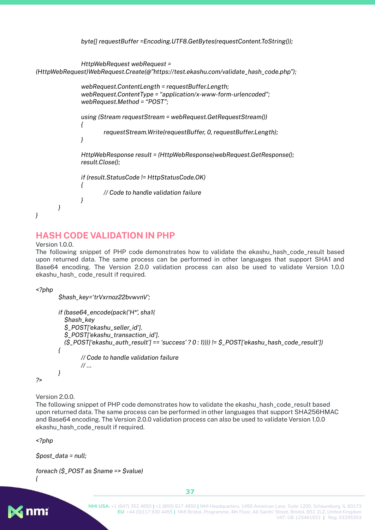```
byte[] requestBuffer =Encoding.UTF8.GetBytes(requestContent.ToString());
               HttpWebRequest webRequest =
(HttpWebRequest)WebRequest.Create(@"https://test.ekashu.com/validate_hash_code.php");
               webRequest.ContentLength = requestBuffer.Length;
               webRequest.ContentType = "application/x-www-form-urlencoded";
               webRequest.Method = "POST";
               using (Stream requestStream = webRequest.GetRequestStream())
               {
                      requestStream.Write(requestBuffer, 0, requestBuffer.Length);
              }
               HttpWebResponse result = (HttpWebResponse)webRequest.GetResponse();
               result.Close();
              if (result.StatusCode != HttpStatusCode.OK)
               {
                      // Code to handle validation failure
              }
       }
}
```
#### **HASH CODE VALIDATION IN PHP**

Version 1.0.0.

The following snippet of PHP code demonstrates how to validate the ekashu\_hash\_code\_result based upon returned data. The same process can be performed in other languages that support SHA1 and Base64 encoding. The Version 2.0.0 validation process can also be used to validate Version 1.0.0 ekashu\_hash\_ code\_result if required.

*<?php*

```
$hash_key='trVxrnoz22bvwvnV';
```

```
if (base64_encode(pack('H*', sha1(
  $hash_key
  $_POST['ekashu_seller_id'].
  $_POST['ekashu_transaction_id'].
  ($_POST['ekashu_auth_result'] == 'success' ? 0 : 1)))) != $_POST['ekashu_hash_code_result'])
{
        // Code to handle validation failure
        // …
}
```
*?>*

Version 2.0.0.

The following snippet of PHP code demonstrates how to validate the ekashu\_hash\_code\_result based upon returned data. The same process can be performed in other languages that support SHA256HMAC and Base64 encoding. The Version 2.0.0 validation process can also be used to validate Version 1.0.0 ekashu\_hash\_code\_result if required.

*<?php*

```
$post_data = null;
```

```
foreach ($_POST as $name => $value)
```
*{*

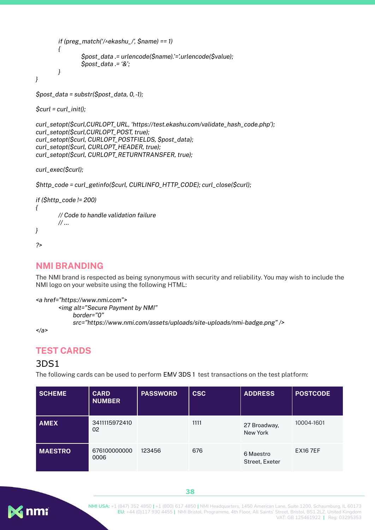```
if (preg_match('/^ekashu_/', $name) == 1)
        {
                $post_data .= urlencode($name).'='.urlencode($value);
                $post_data .= '&';
        }
}
```

```
$post_data = substr($post_data, 0,-1);
```
*\$curl = curl\_init();*

```
curl_setopt($curl,CURLOPT_URL, 'https://test.ekashu.com/validate_hash_code.php');
curl_setopt($curl,CURLOPT_POST, true);
curl_setopt($curl, CURLOPT_POSTFIELDS, $post_data);
curl_setopt($curl, CURLOPT_HEADER, true);
curl_setopt($curl, CURLOPT_RETURNTRANSFER, true);
```
*curl\_exec(\$curl);*

```
$http_code = curl_getinfo($curl, CURLINFO_HTTP_CODE); curl_close($curl);
```

```
if ($http_code != 200)
{
        // Code to handle validation failure
        // …
}
```

```
?>
```
#### **NMI BRANDING**

The NMI brand is respected as being synonymous with security and reliability. You may wish to include the NMI logo on your website using the following HTML:

```
<a href="https://www.nmi.com">
       <img alt="Secure Payment by NMI"
            border="0"
            src="https://www.nmi.com/assets/uploads/site-uploads/nmi-badge.png" />
```
*</a>*

#### <span id="page-38-1"></span>**TEST CARDS**

#### <span id="page-38-2"></span>3DS1

The following cards can be used to perform EMV 3DS 1 test transactions on the test platform:

| <b>SCHEME</b>  | <b>CARD</b><br><b>NUMBER</b> | <b>PASSWORD</b> | <b>CSC</b> | <b>ADDRESS</b>              | <b>POSTCODE</b> |
|----------------|------------------------------|-----------------|------------|-----------------------------|-----------------|
| <b>AMEX</b>    | 3411115972410<br>02          |                 | 1111       | 27 Broadway.<br>New York    | 10004-1601      |
| <b>MAESTRO</b> | 676100000000<br>0006         | 123456          | 676        | 6 Maestro<br>Street, Exeter | <b>EX167EF</b>  |

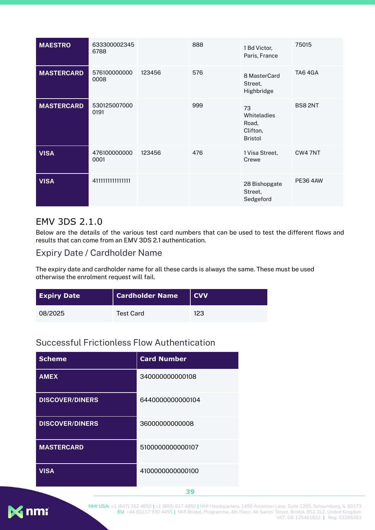| <b>MAESTRO</b>    | 633300002345<br>6788 |        | 888 | 1 Bd Victor,<br>Paris, France                            | 75015           |
|-------------------|----------------------|--------|-----|----------------------------------------------------------|-----------------|
| <b>MASTERCARD</b> | 576100000000<br>0008 | 123456 | 576 | 8 MasterCard<br>Street,<br>Highbridge                    | TA64GA          |
| <b>MASTERCARD</b> | 530125007000<br>0191 |        | 999 | 73<br>Whiteladies<br>Road,<br>Clifton,<br><b>Bristol</b> | <b>BS82NT</b>   |
| <b>VISA</b>       | 476100000000<br>0001 | 123456 | 476 | 1 Visa Street,<br>Crewe                                  | CW4 7NT         |
| <b>VISA</b>       | 4111111111111111     |        |     | 28 Bishopgate<br>Street,<br>Sedgeford                    | <b>PE36 4AW</b> |

#### <span id="page-39-0"></span>EMV 3DS 2.1.0

Below are the details of the various test card numbers that can be used to test the different flows and results that can come from an EMV 3DS 2.1 authentication.

#### <span id="page-39-1"></span>Expiry Date / Cardholder Name

The expiry date and cardholder name for all these cards is always the same. These must be used otherwise the enrolment request will fail.

| <b>Expiry Date</b> | <b>Cardholder Name</b> | l CVV. |
|--------------------|------------------------|--------|
| 08/2025            | <b>Test Card</b>       | 123    |

## <span id="page-39-2"></span>Successful Frictionless Flow Authentication

| <b>Scheme</b>          | <b>Card Number</b> |
|------------------------|--------------------|
| <b>AMEX</b>            | 340000000000108    |
| <b>DISCOVER/DINERS</b> | 6440000000000104   |
| <b>DISCOVER/DINERS</b> | 36000000000008     |
| <b>MASTERCARD</b>      | 5100000000000107   |
| <b>VISA</b>            | 4100000000000100   |

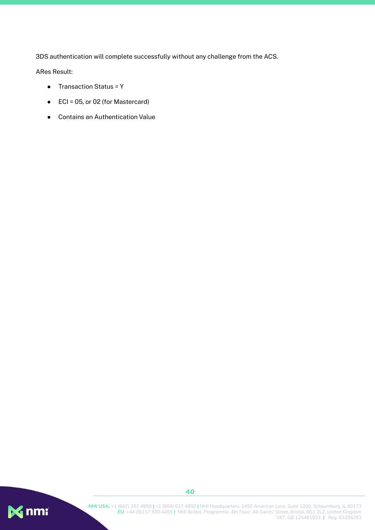3DS authentication will complete successfully without any challenge from the ACS.

ARes Result:

- Transaction Status = Y
- ECI = 05, or 02 (for Mastercard)
- Contains an Authentication Value

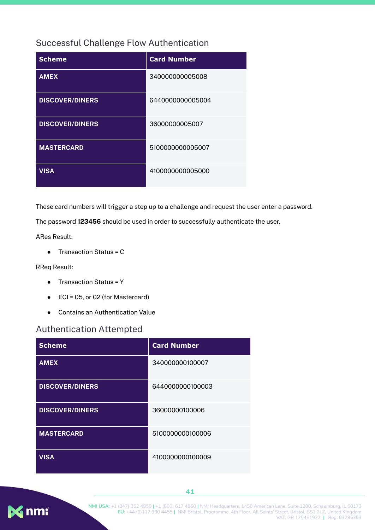#### <span id="page-41-0"></span>Successful Challenge Flow Authentication

| <b>Scheme</b>          | <b>Card Number</b> |
|------------------------|--------------------|
| <b>AMEX</b>            | 340000000005008    |
| <b>DISCOVER/DINERS</b> | 6440000000005004   |
| <b>DISCOVER/DINERS</b> | 36000000005007     |
| <b>MASTERCARD</b>      | 5100000000005007   |
| <b>VISA</b>            | 4100000000005000   |

These card numbers will trigger a step up to a challenge and request the user enter a password.

The password **123456** should be used in order to successfully authenticate the user.

ARes Result:

● Transaction Status = C

RReq Result:

- Transaction Status = Y
- ECI = 05, or 02 (for Mastercard)
- Contains an Authentication Value

#### <span id="page-41-1"></span>Authentication Attempted

| <b>Scheme</b>          | <b>Card Number</b> |
|------------------------|--------------------|
| <b>AMEX</b>            | 340000000100007    |
| <b>DISCOVER/DINERS</b> | 6440000000100003   |
| <b>DISCOVER/DINERS</b> | 36000000100006     |
| <b>MASTERCARD</b>      | 5100000000100006   |
| <b>VISA</b>            | 4100000000100009   |

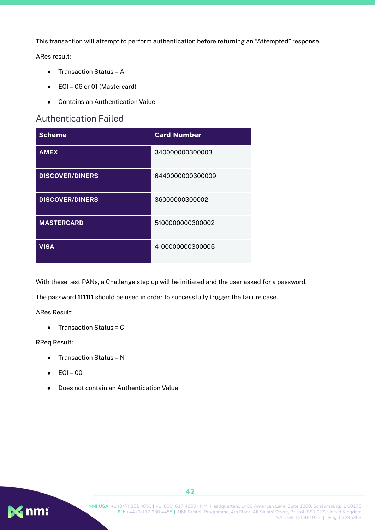This transaction will attempt to perform authentication before returning an "Attempted" response.

ARes result:

- Transaction Status = A
- ECI = 06 or 01 (Mastercard)
- Contains an Authentication Value

#### <span id="page-42-0"></span>Authentication Failed

| <b>Scheme</b>          | <b>Card Number</b> |
|------------------------|--------------------|
| <b>AMEX</b>            | 340000000300003    |
| <b>DISCOVER/DINERS</b> | 6440000000300009   |
| <b>DISCOVER/DINERS</b> | 36000000300002     |
| <b>MASTERCARD</b>      | 5100000000300002   |
| <b>VISA</b>            | 4100000000300005   |

With these test PANs, a Challenge step up will be initiated and the user asked for a password.

The password **111111** should be used in order to successfully trigger the failure case.

ARes Result:

● Transaction Status = C

#### RReq Result:

- Transaction Status = N
- $\bullet$  ECI = 00
- Does not contain an Authentication Value

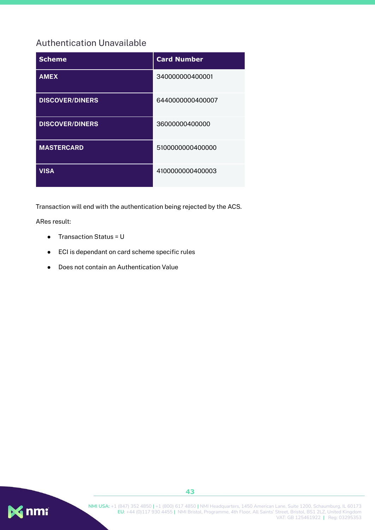## <span id="page-43-0"></span>Authentication Unavailable

| <b>Scheme</b>          | <b>Card Number</b> |
|------------------------|--------------------|
| <b>AMEX</b>            | 340000000400001    |
| <b>DISCOVER/DINERS</b> | 6440000000400007   |
| <b>DISCOVER/DINERS</b> | 36000000400000     |
| <b>MASTERCARD</b>      | 5100000000400000   |
| <b>VISA</b>            | 4100000000400003   |

Transaction will end with the authentication being rejected by the ACS.

ARes result:

- Transaction Status = U
- ECI is dependant on card scheme specific rules
- Does not contain an Authentication Value

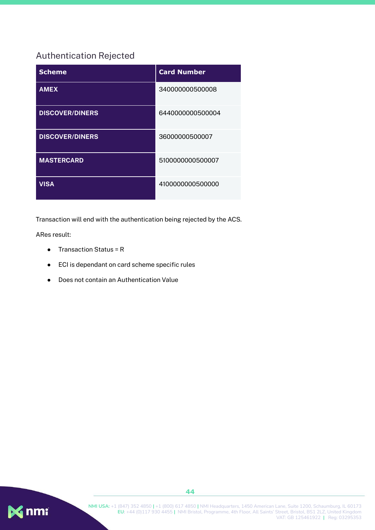## <span id="page-44-0"></span>Authentication Rejected

| <b>Scheme</b>          | <b>Card Number</b> |
|------------------------|--------------------|
| <b>AMEX</b>            | 340000000500008    |
| <b>DISCOVER/DINERS</b> | 6440000000500004   |
| <b>DISCOVER/DINERS</b> | 36000000500007     |
| <b>MASTERCARD</b>      | 5100000000500007   |
| <b>VISA</b>            | 4100000000500000   |

Transaction will end with the authentication being rejected by the ACS.

ARes result:

- Transaction Status = R
- ECI is dependant on card scheme specific rules
- Does not contain an Authentication Value